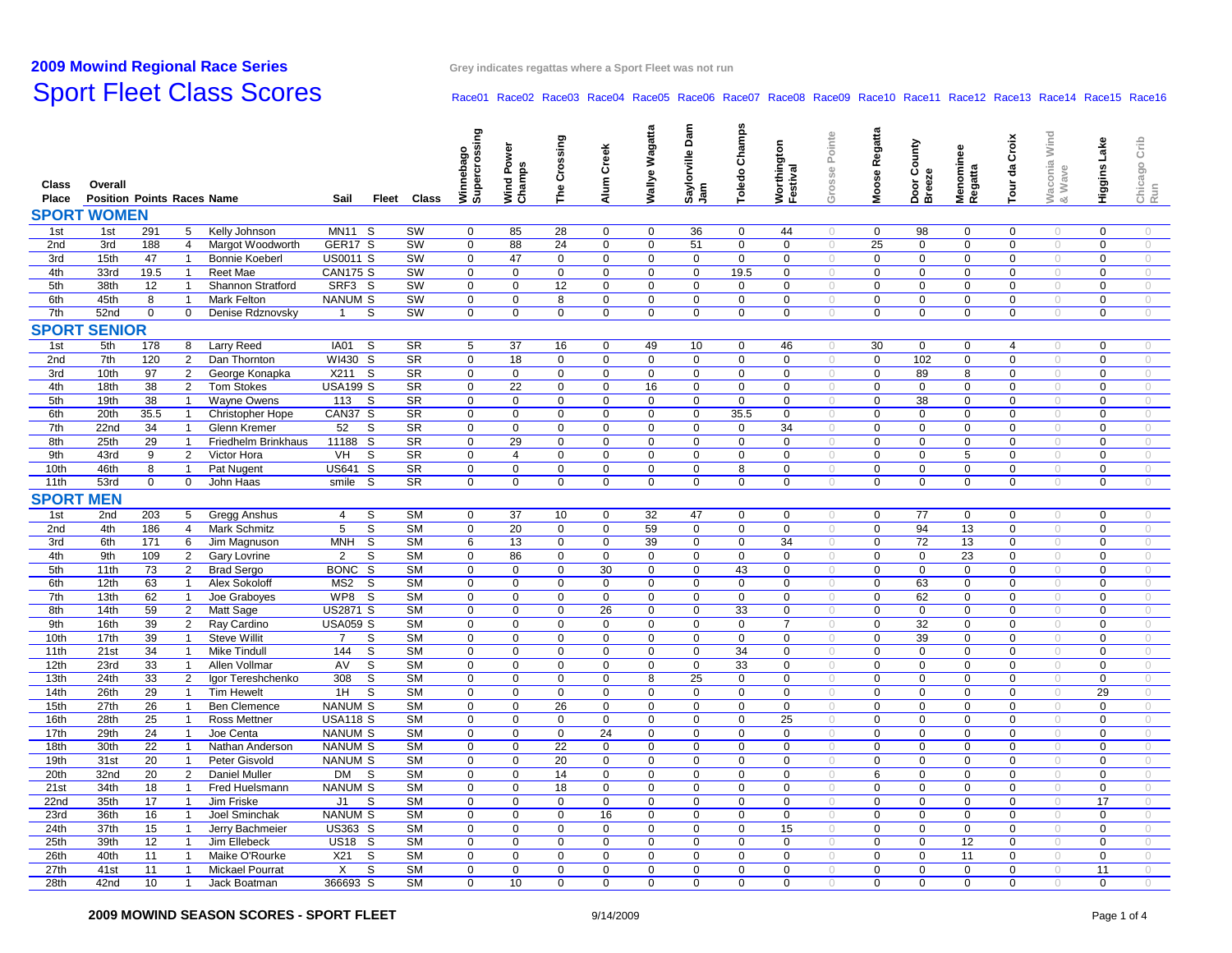## **2009 Mowind**

**Regional Race Series Grey indicates regattas where <sup>a</sup> Sport Fleet was not run**

#### Sport Fleet Class Scores Race01 Race01 Race02 Race03 Race04 Race06 Race06 Race08 Race09 Race10 Race11 Race12 Race13 Race14 Race15 Race16

| Class<br>Place   | Overall<br><b>Position Points Races Name</b> |             |                |                       | Sail                                      | Fleet Class | Winnebago<br>Supercrossing | Wind Power<br>Champs | Crossing<br>Fhe         | Alum Creek  | Wallye Wagatta | Saylorville Dam<br>Jam | <b>Champs</b><br>Toledo | Worthington<br>Festival | Grosse Pointe       | Moose Regatta  | Door County<br>Breeze | Menominee<br>Regatta | Tour da Croix    | Waconia Wind<br>& Wave | Lake<br>Higgins I | Crib<br>Chicago<br>Run |
|------------------|----------------------------------------------|-------------|----------------|-----------------------|-------------------------------------------|-------------|----------------------------|----------------------|-------------------------|-------------|----------------|------------------------|-------------------------|-------------------------|---------------------|----------------|-----------------------|----------------------|------------------|------------------------|-------------------|------------------------|
| <b>SPORT</b>     | <b>WOMEN</b>                                 |             |                |                       |                                           |             |                            |                      |                         |             |                |                        |                         |                         |                     |                |                       |                      |                  |                        |                   |                        |
| 1st              | 1st                                          | 291         | 5              | Kelly Johnson         | <b>MN11</b><br>-S                         | SW          | $\mathbf 0$                | 85                   | 28                      | 0           | 0              | 36                     | 0                       | 44                      | $\circ$             | 0              | 98                    | 0                    | 0                | $\circ$                | 0                 | $\circ$                |
| 2nd              | 3rd                                          | 188         | $\overline{4}$ | Margot Woodworth      | GER17 S                                   | SW          | 0                          | 88                   | 24                      | $\mathbf 0$ | $\mathbf 0$    | 51                     | $\mathbf 0$             | $\mathbf 0$             | $\sqrt{2}$          | 25             | 0                     | 0                    | $\mathbf 0$      | $\circ$                | $\mathbf 0$       | $\circ$                |
| 3rd              | 15th                                         | 47          | $\overline{1}$ | <b>Bonnie Koeberl</b> | <b>US0011 S</b>                           | SW          | $\mathbf 0$                | 47                   | 0                       | 0           | $\mathbf 0$    | $\mathbf 0$            | $\mathbf 0$             | $\mathbf 0$             | $\circ$             | $\mathbf 0$    | $\mathbf 0$           | 0                    | $\mathbf 0$      | $\circ$                | $\mathbf 0$       | $\circ$                |
| 4th              | 33rd                                         | 19.5        | $\overline{1}$ | Reet Mae              | <b>CAN175 S</b>                           | SW          | 0                          | 0                    | $\mathbf 0$             | $\mathbf 0$ | 0              | 0                      | 19.5                    | $\mathbf 0$             | $\circ$             | $\mathbf 0$    | 0                     | 0                    | $\mathbf 0$      | $\circ$                | $\mathbf 0$       | $\circ$                |
| 5th              | 38th                                         | 12          | $\overline{1}$ | Shannon Stratford     | SRF3 S                                    | SW          | 0                          | 0                    | 12                      | $\mathbf 0$ | $\mathbf 0$    | $\mathbf 0$            | $\mathbf 0$             | $\mathbf 0$             | $\sqrt{2}$          | $\mathbf 0$    | $\mathbf 0$           | $\mathbf 0$          | $\mathbf 0$      | $\theta$               | $\mathbf 0$       | $\circ$                |
| 6th              | 45th                                         | 8           | $\overline{1}$ | Mark Felton           | <b>NANUM S</b>                            | SW          | 0                          | 0                    | 8                       | 0           | $\mathbf 0$    | 0                      | $\mathbf 0$             | $\mathbf 0$             | $\circ$             | $\mathbf 0$    | $\mathbf 0$           | $\mathbf 0$          | $\mathbf 0$      | $\circ$                | 0                 | $\circ$                |
| 7th              | 52nd                                         | $\mathbf 0$ | 0              | Denise Rdznovsky      | $\overline{1}$<br>S                       | SW          | 0                          | 0                    | $\mathbf 0$             | 0           | 0              | $\mathbf 0$            | 0                       | $\mathbf 0$             | $\sqrt{2}$          | $\mathbf 0$    | $\mathbf 0$           | 0                    | $\mathbf 0$      | $\circ$                | $\mathbf 0$       | $\circ$                |
| <b>SPORT</b>     | <b>SENIOR</b>                                |             |                |                       |                                           |             |                            |                      |                         |             |                |                        |                         |                         |                     |                |                       |                      |                  |                        |                   |                        |
|                  |                                              |             |                |                       |                                           |             |                            |                      |                         |             |                |                        |                         |                         |                     |                |                       |                      |                  |                        |                   |                        |
| 1st              | 5th                                          | 178         | 8              | <b>Larry Reed</b>     | IA01<br>-S                                | <b>SR</b>   | 5                          | 37                   | 16                      | $\mathbf 0$ | 49             | 10                     | 0                       | 46                      | $\sqrt{2}$          | 30             | $\mathbf 0$           | 0                    | 4                | $\circ$                | $\mathbf 0$       | $\bigcirc$             |
| 2nd              | 7th                                          | 120         | $\overline{2}$ | Dan Thornton          | WI430 S                                   | <b>SR</b>   | 0                          | 18                   | $\mathbf 0$             | $\mathbf 0$ | $\mathbf 0$    | $\mathbf 0$            | $\mathbf 0$             | $\mathbf 0$             | $\circ$             | $\mathbf 0$    | 102                   | $\mathbf 0$          | $\mathbf 0$      | $\circ$                | $\mathbf 0$       | $\bigcirc$             |
| 3rd              | 10th                                         | 97          | $\overline{2}$ | George Konapka        | X211<br>S                                 | <b>SR</b>   | 0                          | 0                    | $\mathbf 0$             | $\mathbf 0$ | $\mathbf 0$    | $\mathbf 0$            | $\mathbf 0$             | $\mathbf 0$             | $\circ$             | $\mathbf 0$    | 89                    | 8                    | $\mathbf 0$      | $\circ$                | $\mathbf 0$       | $\circ$                |
| 4th              | 18th                                         | 38          | 2              | <b>Tom Stokes</b>     | <b>USA199 S</b>                           | <b>SR</b>   | $\mathbf 0$                | 22                   | 0                       | $\mathbf 0$ | 16             | 0                      | $\mathbf 0$             | $\mathbf 0$             | $\bigcirc$          | $\mathbf 0$    | $\mathbf 0$           | $\mathbf 0$          | $\mathbf 0$      | $\bigcirc$             | $\mathbf 0$       | $\bigcirc$             |
| 5th              | 19th                                         | 38          | $\overline{1}$ | Wayne Owens           | 113<br>- S                                | <b>SR</b>   | 0                          | 0                    | 0                       | $\mathbf 0$ | 0              | $\mathbf 0$            | $\mathbf 0$             | $\mathbf 0$             | $\circ$             | $\mathbf 0$    | 38                    | 0                    | $\mathbf 0$      | $\circ$                | $\mathbf 0$       | $\bigcirc$             |
| 6th              | 20th                                         | 35.5        | $\overline{1}$ | Christopher Hope      | CAN37 S                                   | <b>SR</b>   | $\mathbf 0$                | $\mathbf 0$          | $\mathbf 0$             | $\mathbf 0$ | $\mathbf 0$    | $\mathbf 0$            | 35.5                    | $\mathbf 0$             | $\circ$             | $\mathbf 0$    | $\mathbf 0$           | $\mathbf 0$          | $\mathbf 0$      | $\circ$                | $\mathbf 0$       | $\circ$                |
| 7th              | 22nd                                         | 34          | $\overline{1}$ | Glenn Kremer          | 52<br>S                                   | <b>SR</b>   | 0                          | $\pmb{0}$            | 0                       | 0           | 0              | 0                      | 0                       | 34                      | $\bigcirc$          | $\Omega$       | 0                     | 0                    | $\mathbf 0$      | $\bigcirc$             | 0                 | $\bigcirc$             |
| 8th              | 25th                                         | 29          | $\overline{1}$ | Friedhelm Brinkhaus   | 11188 S                                   | <b>SR</b>   | 0                          | 29                   | 0                       | $\mathbf 0$ | $\mathbf 0$    | $\mathbf 0$            | $\mathbf 0$             | $\mathsf 0$             | $\circlearrowright$ | $\mathbf 0$    | $\mathbf 0$           | $\mathbf 0$          | $\boldsymbol{0}$ | $\bigcirc$             | $\mathbf 0$       | $\circ$                |
| 9th              | 43rd                                         | 9           | $\overline{2}$ | Victor Hora           | VH<br>S                                   | <b>SR</b>   | 0                          | $\overline{4}$       | $\mathsf{O}\phantom{0}$ | 0           | $\mathsf{O}$   | $\mathbf 0$            | 0                       | $\mathbf 0$             | $\bigcirc$          | $\mathsf 0$    | $\mathbf 0$           | 5                    | $\mathbf 0$      | $\circ$                | $\mathbf 0$       | $\circ$                |
| 10th             | 46th                                         | 8           | $\overline{1}$ | Pat Nugent            | US641 S                                   | <b>SR</b>   | 0                          | 0                    | 0                       | $\mathbf 0$ | $\mathbf 0$    | 0                      | 8                       | $\mathbf 0$             | $\circ$             | $\mathbf 0$    | $\mathbf 0$           | $\mathbf 0$          | $\mathbf 0$      | $\circ$                | 0                 | $\circ$                |
| 11th             | 53rd                                         | $\mathbf 0$ | $\mathbf 0$    | John Haas             | S<br>smile                                | <b>SR</b>   | 0                          | 0                    | $\mathbf 0$             | $\mathbf 0$ | 0              | $\mathbf 0$            | 0                       | $\mathbf 0$             | $\circlearrowright$ | $\overline{0}$ | $\mathsf 0$           | 0                    | $\mathbf 0$      | $\circlearrowright$    | $\mathbf 0$       | $\bigcirc$             |
| <b>SPORT</b>     | <b>MEN</b>                                   |             |                |                       |                                           |             |                            |                      |                         |             |                |                        |                         |                         |                     |                |                       |                      |                  |                        |                   |                        |
| 1st              | 2nd                                          | 203         | 5 <sub>5</sub> | Gregg Anshus          | $\overline{\mathbf{s}}$<br>$\overline{4}$ | <b>SM</b>   | 0                          | 37                   | 10                      | 0           | 32             | 47                     | $\mathbf 0$             | $\mathbf 0$             | $\theta$            | $\mathbf 0$    | 77                    | 0                    | $\mathbf 0$      | $\circ$                | 0                 | $\circ$                |
| 2nd              | 4th                                          | 186         | $\overline{4}$ | Mark Schmitz          | 5<br>S                                    | <b>SM</b>   | 0                          | 20                   | $\mathbf 0$             | $\mathbf 0$ | 59             | $\mathbf 0$            | $\mathbf 0$             | $\mathbf 0$             | $\circlearrowright$ | $\mathbf 0$    | 94                    | 13                   | $\mathbf 0$      | $\circ$                | $\mathbf 0$       | $\circ$                |
| 3rd              | 6th                                          | 171         | 6              | Jim Magnuson          | <b>MNH</b><br>S                           | <b>SM</b>   | 6                          | 13                   | 0                       | 0           | 39             | $\mathbf 0$            | $\mathsf{O}$            | 34                      | $\circ$             | $\pmb{0}$      | 72                    | 13                   | $\mathbf 0$      | $\circ$                | 0                 | $\circ$                |
| 4th              | 9th                                          | 109         | $\overline{2}$ | <b>Gary Lovrine</b>   | $\overline{2}$<br>S                       | <b>SM</b>   | $\mathbf 0$                | 86                   | 0                       | 0           | 0              | 0                      | 0                       | $\mathbf 0$             | $\circ$             | $\mathbf 0$    | 0                     | $\overline{23}$      | $\mathbf 0$      | $\circ$                | 0                 | $\circ$                |
| 5th              | 11th                                         | 73          | 2              | <b>Brad Sergo</b>     | BONC S                                    | <b>SM</b>   | 0                          | 0                    | 0                       | 30          | 0              | $\mathbf 0$            | 43                      | 0                       | $\circ$             | $\mathbf 0$    | $\mathbf 0$           | 0                    | $\mathbf 0$      | $\circ$                | 0                 | $\circ$                |
| 6th              | 12th                                         | 63          | $\overline{1}$ | Alex Sokoloff         | S<br>MS2                                  | <b>SM</b>   | 0                          | 0                    | $\mathbf 0$             | $\mathbf 0$ | $\mathbf 0$    | $\mathbf 0$            | $\mathbf 0$             | $\mathbf 0$             | $\circ$             | $\mathbf 0$    | 63                    | 0                    | $\mathbf 0$      | $\circ$                | $\mathbf 0$       | $\circ$                |
| 7th              | 13th                                         | 62          | $\overline{1}$ | Joe Graboyes          | WP8<br>- S                                | <b>SM</b>   | $\mathbf 0$                | $\mathbf 0$          | 0                       | $\mathbf 0$ | $\mathbf 0$    | 0                      | $\mathbf 0$             | $\mathbf 0$             | $\sqrt{2}$          | $\mathbf 0$    | 62                    | 0                    | $\mathbf 0$      | $\circ$                | $\mathbf 0$       | $\circ$                |
| 8th              | 14th                                         | 59          | $\overline{2}$ | Matt Sage             | <b>US2871 S</b>                           | <b>SM</b>   | $\mathbf 0$                | 0                    | $\mathbf 0$             | 26          | 0              | $\mathbf 0$            | 33                      | $\mathbf 0$             | $\circlearrowright$ | $\mathbf 0$    | $\mathbf 0$           | 0                    | $\mathbf 0$      | $\circ$                | 0                 | $\circ$                |
| 9th              | 16th                                         | 39          | $\overline{2}$ | Ray Cardino           | <b>USA059 S</b>                           | <b>SM</b>   | 0                          | 0                    | $\mathbf 0$             | $\mathbf 0$ | $\mathbf 0$    | $\mathbf 0$            | $\mathbf 0$             | $\overline{7}$          | $\circ$             | $\mathbf 0$    | 32                    | $\mathbf 0$          | $\mathbf 0$      | $\circ$                | $\mathbf 0$       | $\circ$                |
| 10th             | 17th                                         | 39          | $\overline{1}$ | <b>Steve Willit</b>   | $\overline{7}$<br>S                       | <b>SM</b>   | $\mathbf 0$                | $\mathbf 0$          | 0                       | $\mathbf 0$ | $\mathbf 0$    | 0                      | $\mathbf 0$             | $\mathbf 0$             | $\circ$             | $\mathbf 0$    | 39                    | 0                    | $\mathbf 0$      | $\circ$                | $\mathbf 0$       | $\circ$                |
| 11th             | 21st                                         | 34          | $\overline{1}$ | <b>Mike Tindull</b>   | S<br>144                                  | <b>SM</b>   | $\mathbf 0$                | 0                    | $\mathbf 0$             | $\mathbf 0$ | $\mathbf 0$    | $\mathbf 0$            | 34                      | $\mathbf 0$             | $\circ$             | $\mathbf 0$    | $\mathbf 0$           | $\mathbf 0$          | $\mathbf 0$      | $\circ$                | $\mathbf 0$       | $\circ$                |
| 12th             | 23rd                                         | 33          | $\overline{1}$ | Allen Vollmar         | $\mathsf S$<br>AV                         | <b>SM</b>   | $\mathbf 0$                | $\mathbf 0$          | $\mathbf 0$             | $\mathbf 0$ | $\mathbf 0$    | $\mathbf 0$            | 33                      | $\mathsf 0$             | $\circ$             | $\mathbf 0$    | $\mathbf 0$           | $\mathbf 0$          | $\mathsf 0$      | $\circ$                | $\mathbf 0$       | $\circ$                |
| 13th             | 24th                                         | 33          | $\overline{2}$ | Igor Tereshchenko     | 308<br>S                                  | <b>SM</b>   | $\mathbf 0$                | $\mathbf 0$          | 0                       | $\mathbf 0$ | 8              | 25                     | 0                       | $\mathbf 0$             | $\circ$             | $\pmb{0}$      | $\mathbf 0$           | $\mathbf 0$          | $\mathbf 0$      | $\circ$                | $\mathbf 0$       | $\bigcirc$             |
| 14th             | 26th                                         | 29          | $\overline{1}$ | <b>Tim Hewelt</b>     | S<br>1H                                   | <b>SM</b>   | 0                          | 0                    | $\mathbf 0$             | $\mathbf 0$ | 0              | $\mathbf 0$            | $\mathbf 0$             | $\mathbf 0$             | $\bigcirc$          | $\mathbf 0$    | 0                     | 0                    | $\mathbf 0$      | $\circlearrowright$    | 29                | $\bigcirc$             |
| 15th             | 27th                                         | 26          | $\overline{1}$ | <b>Ben Clemence</b>   | <b>NANUM S</b>                            | <b>SM</b>   | 0                          | 0                    | 26                      | $\mathbf 0$ | $\mathbf 0$    | $\mathbf 0$            | $\mathbf 0$             | $\mathsf 0$             | $\circ$             | $\mathsf 0$    | $\mathbf 0$           | 0                    | $\mathbf 0$      | $\circ$                | $\mathbf 0$       | $\circ$                |
| 16th             | 28th                                         | 25          | $\overline{1}$ | Ross Mettner          | <b>USA118 S</b>                           | <b>SM</b>   | 0                          | $\mathbf 0$          | 0                       | 0           | $\mathbf 0$    | $\Omega$               | $\mathbf 0$             | 25                      | $\circlearrowright$ | $\mathbf 0$    | $\mathsf 0$           | $\mathbf 0$          | $\mathbf 0$      | $\circ$                | $\mathsf 0$       | $\circ$                |
| 17th             | 29th                                         | 24          | $\overline{1}$ | Joe Centa             | <b>NANUM S</b>                            | <b>SM</b>   | 0                          | 0                    | $\mathbf 0$             | 24          | 0              | $\mathbf 0$            | $\mathbf 0$             | $\mathbf 0$             | $\circlearrowright$ | $\mathbf 0$    | $\mathbf 0$           | 0                    | $\mathbf 0$      | $\circ$                | $\mathbf 0$       | $\circ$                |
| 18th             | 30th                                         | 22          | $\overline{1}$ | Nathan Anderson       | <b>NANUM S</b>                            | <b>SM</b>   | 0                          | 0                    | 22                      | $\mathsf 0$ | $\mathbf 0$    | $\mathbf 0$            | $\mathbf 0$             | $\mathbf 0$             | $\circlearrowright$ | $\mathsf 0$    | $\mathsf 0$           | 0                    | $\mathbf 0$      | $\circ$                | $\mathbf 0$       | $\bigcirc$             |
| 19th             | 31st                                         | 20          | $\overline{1}$ | Peter Gisvold         | <b>NANUM S</b>                            | <b>SM</b>   | 0                          | 0                    | 20                      | $\mathsf 0$ | $\mathbf 0$    | $\Omega$               | $\Omega$                | $\mathbf 0$             | $\bigcirc$          | $\overline{0}$ | $\mathsf 0$           | 0                    | $\mathbf 0$      | $\circ$                | $\mathsf 0$       | $\circ$                |
| 20th             | 32nd                                         | 20          | 2              | <b>Daniel Muller</b>  | DM<br>S                                   | <b>SM</b>   | 0                          | 0                    | 14                      | $\mathsf 0$ | 0              | 0                      | 0                       | $\mathbf 0$             | $\circ$             | 6              | $\mathsf 0$           | 0                    | $\mathbf 0$      | $\circ$                | 0                 | $\circ$                |
| 21st             | 34th                                         | 18          | $\overline{1}$ | Fred Huelsmann        | <b>NANUM S</b>                            | <b>SM</b>   | 0                          | 0                    | 18                      | $\mathbf 0$ | 0              | $\mathbf 0$            | 0                       | $\mathbf 0$             | $\theta$            | $\mathbf 0$    | 0                     | 0                    | $\mathbf 0$      | $\theta$               | $\mathbf 0$       | $\circ$                |
| 22 <sub>nd</sub> | 35th                                         | 17          | $\overline{1}$ | Jim Friske            | J1<br>S                                   | <b>SM</b>   | 0                          | $\mathbf 0$          | 0                       | 0           | $\mathbf 0$    | 0                      | $\mathbf 0$             | $\mathbf 0$             | $\circ$             | $\mathbf 0$    | 0                     | 0                    | $\overline{0}$   | $\circ$                | 17                | $\circ$                |
| 23rd             | 36th                                         | 16          | $\overline{1}$ | Joel Sminchak         | <b>NANUM S</b>                            | <b>SM</b>   | $\mathbf 0$                | 0                    | $\mathbf 0$             | 16          | $\mathbf 0$    | $\mathbf 0$            | $\mathbf 0$             | $\mathbf 0$             | $\bigcirc$          | $\mathbf 0$    | $\mathbf 0$           | $\mathbf 0$          | $\mathbf 0$      | $\circ$                | $\mathbf 0$       | $\bigcirc$             |
| 24th             | 37th                                         | 15          | $\overline{1}$ | Jerry Bachmeier       | US363 S                                   | <b>SM</b>   | 0                          | 0                    | $\mathbf 0$             | 0           | $\mathbf 0$    | $\mathbf 0$            | $\mathbf 0$             | 15                      | $\circ$             | $\mathbf 0$    | $\mathbf 0$           | $\mathbf 0$          | $\mathbf 0$      | $\theta$               | $\mathbf 0$       | $\circ$                |
| 25th             | 39th                                         | 12          | $\overline{1}$ | Jim Ellebeck          | <b>US18 S</b>                             | <b>SM</b>   | $\mathbf 0$                | $\mathbf 0$          | 0                       | 0           | $\mathbf 0$    | 0                      | $\mathbf 0$             | $\mathbf 0$             | $\circ$             | $\Omega$       | $\mathbf 0$           | 12                   | $\mathbf 0$      | $\sqrt{2}$             | $\mathbf 0$       | $\circ$                |
| 26th             | 40th                                         | 11          | $\overline{1}$ | Maike O'Rourke        | S<br>X21                                  | <b>SM</b>   | $\mathbf 0$                | $\mathbf 0$          | $\mathbf 0$             | $\mathbf 0$ | $\mathbf 0$    | $\mathbf 0$            | $\mathbf 0$             | $\mathbf 0$             | $\circ$             | $\mathbf 0$    | $\mathbf 0$           | 11                   | $\mathbf 0$      | $\bigcirc$             | $\mathbf 0$       | $\circ$                |
| 27th             | 41 <sub>st</sub>                             | 11          | $\overline{1}$ | Mickael Pourrat       | S<br>X                                    | <b>SM</b>   | $\mathbf 0$                | $\mathbf 0$          | 0                       | $\mathbf 0$ | $\mathbf 0$    | 0                      | $\mathbf 0$             | $\mathbf 0$             | $\theta$            | $\mathbf 0$    | $\mathbf 0$           | $\mathbf 0$          | $\mathbf 0$      | $\theta$               | 11                | $\circ$                |
| 28th             | 42nd                                         | 10          |                | Jack Boatman          | 366693 S                                  | <b>SM</b>   | $\Omega$                   | 10                   | $\Omega$                | $\mathbf 0$ | $\Omega$       | $\Omega$               | $\Omega$                | $\Omega$                | $\bigcap$           | $\Omega$       | $\Omega$              | $\Omega$             | $\Omega$         | $\bigcap$              | $\Omega$          | $\bigcap$              |
|                  |                                              |             |                |                       |                                           |             |                            |                      |                         |             |                |                        |                         |                         |                     |                |                       |                      |                  |                        |                   |                        |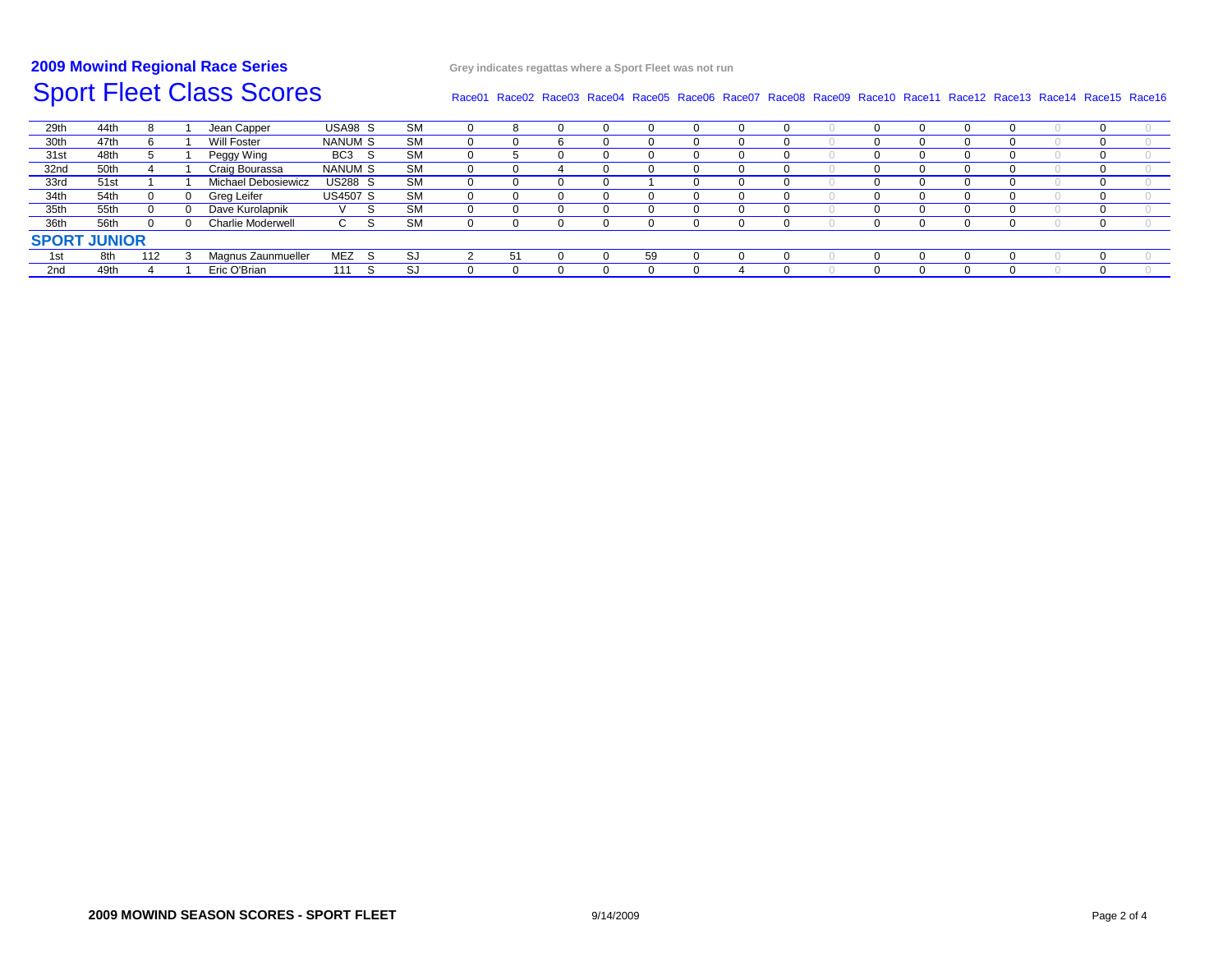#### **2009 MowindRegional Race Series Grey indicates regattas where <sup>a</sup> Sport Fleet was not run**

#### Race01 Race02 Race03 Race04 Race05 Race06 Race07 Race08 Race09 Race10 Race11 Race12 Race13 Race14 Race15 Race16

| 29th                | 44th |     |  | Jean Capper              | USA98 S         |    | <b>SM</b> |  |  |  |  |    |     |  |  |  |  |   |  |
|---------------------|------|-----|--|--------------------------|-----------------|----|-----------|--|--|--|--|----|-----|--|--|--|--|---|--|
| 30th                | 47th |     |  | Will Foster              | NANUM S         |    | <b>SM</b> |  |  |  |  |    | - 0 |  |  |  |  |   |  |
| 31 <sub>st</sub>    | 48th |     |  | Peggy Wing               | BC <sub>3</sub> | -S | <b>SM</b> |  |  |  |  |    |     |  |  |  |  |   |  |
| 32nd                | 50th |     |  | Craig Bourassa           | NANUM S         |    | <b>SM</b> |  |  |  |  |    |     |  |  |  |  |   |  |
| 33rd                | 51st |     |  | Michael Debosiewicz      | <b>US288 S</b>  |    | <b>SM</b> |  |  |  |  |    |     |  |  |  |  | 0 |  |
| 34th                | 54th |     |  | Greg Leifer              | <b>US4507 S</b> |    | <b>SM</b> |  |  |  |  |    |     |  |  |  |  |   |  |
| 35th                | 55th |     |  | Dave Kurolapnik          |                 |    | <b>SM</b> |  |  |  |  |    |     |  |  |  |  |   |  |
| 36th                | 56th |     |  | <b>Charlie Moderwell</b> | ◡               |    | <b>SM</b> |  |  |  |  |    |     |  |  |  |  |   |  |
| <b>SPORT JUNIOR</b> |      |     |  |                          |                 |    |           |  |  |  |  |    |     |  |  |  |  |   |  |
| 1st                 | 8th  | 112 |  | Magnus Zaunmueller       | <b>MEZ</b>      | -S | S.        |  |  |  |  | 59 |     |  |  |  |  |   |  |
| 2nd                 | 49th |     |  | Eric O'Brian             | 111             | -S | S.        |  |  |  |  |    |     |  |  |  |  |   |  |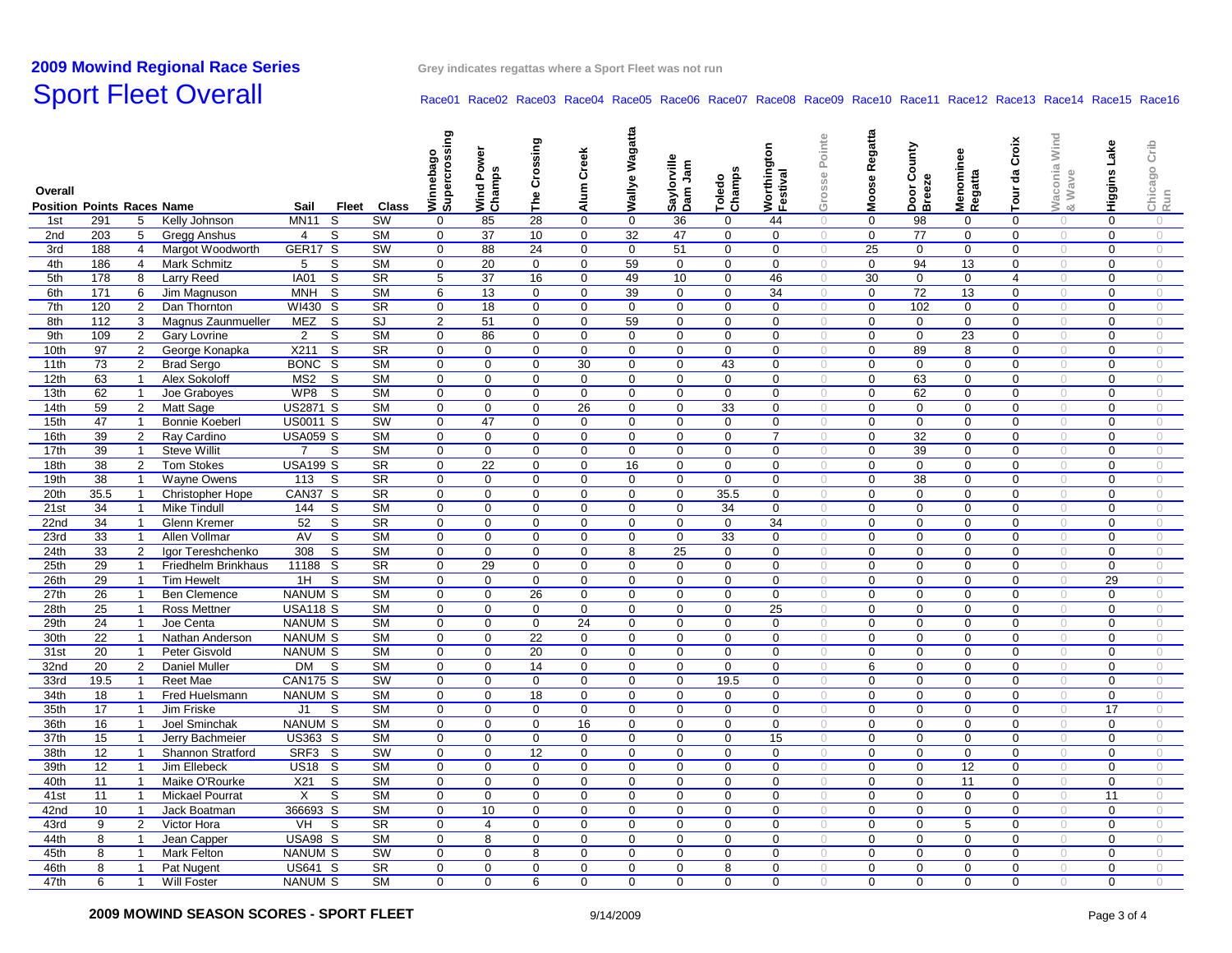# **2009 Mowind**

## Sport Fleet Overall Race01 Race01 Race02 Race03 Race04 Race06 Race06 Race08 Race09 Race10 Race11 Race12 Race13 Race14 Race15 Race16

| Ξ<br><b>Position Points Races Name</b><br>Sail<br>Fleet Class<br>≥∝<br><b>MN11</b><br>S<br>SW<br>44<br>291<br>Kelly Johnson<br>85<br>28<br>0<br>$\mathbf 0$<br>36<br>$\mathbf 0$<br>98<br>0<br>1st<br>5<br>$\Omega$<br>0<br>$\bigcirc$<br>$\Omega$<br>$\Omega$<br>$\circ$<br>$\bigcirc$<br>203<br>S<br><b>SM</b><br>$\mathbf 0$<br>37<br>10<br>$\mathbf 0$<br>32<br>47<br>0<br>$\mathbf 0$<br>$\boldsymbol{0}$<br>77<br>$\mathbf 0$<br>2nd<br>5<br>Gregg Anshus<br>$\overline{4}$<br>$\mathbf 0$<br>$\mathbf 0$<br>$\circ$<br>$\circ$<br>$\circ$<br>188<br>GER17 S<br>SW<br>24<br>25<br>$\mathbf 0$<br>3rd<br>$\overline{4}$<br>Margot Woodworth<br>0<br>88<br>$\mathbf 0$<br>$\mathbf 0$<br>51<br>$\mathbf 0$<br>$\mathbf 0$<br>$\mathbf 0$<br>$\mathbf 0$<br>0<br>$\bigcirc$<br>$\circ$<br>$\circ$<br>186<br>S<br><b>SM</b><br>$\mathbf 0$<br>20<br>0<br>59<br>$\mathbf 0$<br>94<br>13<br>$\bigcirc$<br>0<br>$\bigcirc$<br>4th<br>$\overline{4}$<br>Mark Schmitz<br>5<br>$\mathbf 0$<br>$\mathbf 0$<br>0<br>$\mathbf 0$<br>$\mathbf 0$<br>$\circ$<br>$\overline{\mathsf{s}}$<br>5th<br>178<br>8<br>Larry Reed<br><b>IA01</b><br><b>SR</b><br>5<br>37<br>16<br>$\mathbf 0$<br>49<br>10<br>46<br>30<br>$\mathbf 0$<br>$\mathbf 0$<br>$\overline{4}$<br>$\circ$<br>$\mathbf 0$<br>$\circ$<br>$\mathbf 0$<br>$\circ$<br>171<br>6<br><sub>S</sub><br><b>SM</b><br>13<br>39<br>72<br>13<br>$\mathbf 0$<br>6th<br>Jim Magnuson<br>MNH<br>6<br>0<br>$\mathbf 0$<br>$\mathbf 0$<br>$\mathbf 0$<br>34<br>$\circlearrowright$<br>$\mathbf 0$<br>$\mathbf 0$<br>$\bigcirc$<br>$\bigcirc$<br>120<br>$\overline{\mathsf{s}}$<br>$\overline{\text{SR}}$<br>18<br>$\overline{0}$<br>$\overline{0}$<br>102<br>$\overline{0}$<br>7th<br>$\overline{2}$<br>WI430<br>$\mathbf 0$<br>$\mathbf 0$<br>$\mathbf 0$<br>$\mathbf 0$<br>$\mathbf 0$<br>$\mathbf 0$<br>$\mathbf 0$<br>$\mathbf 0$<br>Dan Thornton<br>$\circ$<br>$\bigcirc$<br>$\circ$<br>8th<br>112<br>3<br>Magnus Zaunmueller<br>MEZ<br>S<br>SJ<br>$\overline{2}$<br>51<br>$\mathbf 0$<br>$\mathbf 0$<br>59<br>$\mathbf 0$<br>$\mathbf 0$<br>$\mathbf 0$<br>$\mathbf 0$<br>$\mathbf 0$<br>$\mathbf 0$<br>0<br>$\mathbf 0$<br>$\circ$<br>$\circ$<br>$\circ$<br>$\overline{\text{SM}}$<br>23<br>109<br>S<br>86<br>$\mathbf 0$<br>9th<br>$\overline{2}$<br><b>Gary Lovrine</b><br>$\overline{2}$<br>$\mathbf 0$<br>0<br>0<br>$\mathbf 0$<br>0<br>0<br>$\mathbf 0$<br>$\mathbf 0$<br>$\mathbf 0$<br>$\bigcirc$<br>$\mathbf 0$<br>$\circ$<br>$\circ$<br>X211<br>$\overline{\mathsf{s}}$<br>$S_{\rm R}$<br>10th<br>97<br>$\overline{2}$<br>George Konapka<br>$\mathbf 0$<br>$\mathbf 0$<br>$\mathbf 0$<br>$\mathbf 0$<br>$\mathbf 0$<br>$\mathbf 0$<br>$\mathbf 0$<br>$\mathbf 0$<br>$\boldsymbol{0}$<br>89<br>8<br>$\mathbf 0$<br>$\circ$<br>$\mathbf 0$<br>$\circ$<br>$\circ$<br>11th<br>73<br>$\overline{2}$<br><b>Brad Sergo</b><br>BONC S<br><b>SM</b><br>$\mathbf 0$<br>$\mathbf 0$<br>$\mathbf 0$<br>30<br>$\mathbf 0$<br>$\mathbf 0$<br>43<br>$\mathbf 0$<br>$\circ$<br>$\mathbf 0$<br>$\mathbf 0$<br>$\mathbf 0$<br>$\mathbf 0$<br>$\circ$<br>$\mathbf 0$<br>$\circ$<br>$\overline{\mathsf{s}}$<br>63<br><b>SM</b><br>$\mathbf 0$<br>$\mathbf 0$<br>$\mathbf 0$<br>$\mathbf 0$<br>$\mathbf 0$<br>$\mathbf 0$<br>63<br>$\mathbf 0$<br>$\mathbf 0$<br>12 <sub>th</sub><br>$\overline{1}$<br>Alex Sokoloff<br>MS2<br>$\mathbf 0$<br>0<br>$\mathbf 0$<br>$\circ$<br>$\mathbf 0$<br>$\circ$<br>$\circ$<br>WP8<br>$\overline{\mathsf{s}}$<br>$\overline{\text{SM}}$<br>$\overline{0}$<br>62<br>$\overline{0}$<br>13th<br>62<br>$\overline{1}$<br>$\mathbf 0$<br>$\mathbf 0$<br>$\mathbf 0$<br>$\mathbf 0$<br>$\mathbf 0$<br>$\mathbf 0$<br>$\mathbf 0$<br>$\mathbf 0$<br>$\mathbf 0$<br>$\mathbf 0$<br>Joe Graboyes<br>$\circ$<br>$\circ$<br>$\circ$<br>14th<br>59<br>2<br>Matt Sage<br><b>US2871 S</b><br><b>SM</b><br>$\mathbf 0$<br>$\mathbf 0$<br>0<br>26<br>$\mathbf 0$<br>$\mathbf 0$<br>33<br>$\mathbf 0$<br>$\mathbf 0$<br>$\mathbf 0$<br>$\mathbf 0$<br>$\mathbf 0$<br>$\mathbf 0$<br>$\circ$<br>$\circ$<br>$\bigcirc$<br>15th<br>47<br><b>Bonnie Koeberl</b><br><b>US0011 S</b><br>SW<br>47<br>$\mathbf 0$<br>$\overline{1}$<br>0<br>0<br>0<br>$\mathbf 0$<br>$\mathbf 0$<br>$\mathbf 0$<br>0<br>0<br>0<br>0<br>$\circ$<br>$\circ$<br>0<br>$\circ$<br>16th<br>39<br><b>USA059 S</b><br><b>SM</b><br>0<br>0<br>$\mathbf 0$<br>$\mathbf 0$<br>$\overline{7}$<br>$\mathbf 0$<br>32<br>$\mathbf 0$<br>$\overline{2}$<br>Ray Cardino<br>$\Omega$<br>$\mathbf 0$<br>$\mathbf 0$<br>$\Omega$<br>$\mathbf 0$<br>$\circ$<br>$\circ$<br>$\circ$<br>39<br>$\overline{7}$<br><b>SM</b><br>39<br>17th<br>$\overline{1}$<br><b>Steve Willit</b><br>-S<br>$\Omega$<br>$\mathbf 0$<br>$\mathbf 0$<br>$\mathbf 0$<br>$\mathbf 0$<br>$\mathbf 0$<br>$\Omega$<br>$\mathbf 0$<br>$\bigcirc$<br>$\mathbf 0$<br>$\Omega$<br>$\Omega$<br>$\circ$<br>$\Omega$<br>$\circ$<br>18th<br><b>SR</b><br>22<br>38<br>$\overline{2}$<br><b>USA199 S</b><br>$\mathbf 0$<br>0<br>$\mathbf 0$<br>16<br>$\mathbf 0$<br>$\mathbf 0$<br>$\mathbf 0$<br>$\mathbf 0$<br>$\mathbf 0$<br>$\mathbf 0$<br><b>Tom Stokes</b><br>0<br>0<br>$\circ$<br>$\circ$<br>$\circ$<br>38<br>S<br><b>SR</b><br>$\mathbf 0$<br>$\mathbf 0$<br>$\mathbf 0$<br>$\mathbf 0$<br>$\mathbf 0$<br>38<br>$\mathbf 0$<br>19th<br>$\overline{1}$<br>Wayne Owens<br>113<br>$\mathbf 0$<br>$\mathbf 0$<br>$\mathbf 0$<br>$\mathbf 0$<br>$\mathbf 0$<br>$\mathbf 0$<br>$\bigcirc$<br>$\circ$<br>$\circ$<br>20th<br>35.5<br>CAN37 S<br><b>SR</b><br>$\mathbf 0$<br>$\mathbf 0$<br>$\mathbf 0$<br>35.5<br>$\mathbf 0$<br>$\mathbf 0$<br>$\mathbf 0$<br>$\mathbf 0$<br>$\mathbf 0$<br>$\overline{1}$<br><b>Christopher Hope</b><br>$\mathbf 0$<br>$\mathbf 0$<br>$\mathbf 0$<br>$\circ$<br>$\mathbf 0$<br>$\circ$<br>$\circ$<br><b>SM</b><br>21st<br>34<br><b>Mike Tindull</b><br>144<br>S<br>$\Omega$<br>0<br>0<br>$\mathbf 0$<br>$\mathbf 0$<br>34<br>$\mathbf 0$<br>$\mathbf 0$<br>$\mathbf 0$<br>$\Omega$<br>0<br>$\bigcirc$<br>$\overline{1}$<br>0<br>$\circ$<br>0<br>$\circ$<br>22nd<br>34<br>52<br>S<br><b>SR</b><br>$\Omega$<br>$\Omega$<br>$\mathbf 0$<br>$\Omega$<br>34<br>$\mathbf 0$<br>$\Omega$<br>$\bigcirc$<br>$\Omega$<br>$\bigcirc$<br>$\overline{1}$<br>Glenn Kremer<br>$\Omega$<br>$\Omega$<br>$\Omega$<br>$\bigcirc$<br>$\mathbf 0$<br>$\Omega$<br>S<br>23rd<br>33<br>$\overline{1}$<br>AV<br><b>SM</b><br>$\mathbf 0$<br>$\mathbf 0$<br>$\mathbf 0$<br>$\mathbf 0$<br>$\mathbf 0$<br>33<br>$\mathbf 0$<br>$\mathbf 0$<br>$\mathbf 0$<br>$\mathbf 0$<br>$\mathbf 0$<br>$\circ$<br>Allen Vollmar<br>$\mathbf 0$<br>$\circ$<br>$\mathbf 0$<br>$\circ$<br>$\overline{\mathbf{s}}$<br>24th<br>33<br>308<br><b>SM</b><br>$\mathbf 0$<br>$\mathbf 0$<br>$\mathbf 0$<br>8<br>25<br>$\mathbf 0$<br>$\mathbf 0$<br>$\mathbf 0$<br>$\mathbf 0$<br>$\mathbf 0$<br>$\overline{2}$<br>$\mathbf{0}$<br>$\mathbf{0}$<br>$\mathbf 0$<br>$\bigcirc$<br>Igor Tereshchenko<br>$\bigcirc$<br>$\bigcirc$<br>25th<br>29<br>11188 S<br><b>SR</b><br>$\mathbf 0$<br>29<br>0<br>$\mathsf{O}\xspace$<br>$\pmb{0}$<br>$\mathsf 0$<br>$\mathbf 0$<br>$\mathbf 0$<br>$\overline{1}$<br>Friedhelm Brinkhaus<br>$\mathbf 0$<br>$\mathbf 0$<br>$\mathbf{0}$<br>$\mathbf 0$<br>$\mathbf 0$<br>$\circ$<br>$\bigcirc$<br>$\bigcirc$<br><b>SM</b><br>29<br>26th<br>29<br>$\overline{1}$<br>1H<br>S<br>$\mathbf 0$<br>$\mathbf 0$<br>$\mathbf{0}$<br>$\mathbf 0$<br>$\mathbf 0$<br>$\mathbf{0}$<br>$\mathbf 0$<br>$\mathbf 0$<br>$\mathbf 0$<br>$\mathbf 0$<br>$\mathbf 0$<br>$\mathbf 0$<br>$\circ$<br>$\circ$<br><b>Tim Hewelt</b><br>$\circ$<br>27th<br>26<br><b>SM</b><br>26<br>$\overline{1}$<br><b>Ben Clemence</b><br>NANUM S<br>$\Omega$<br>$\mathbf{0}$<br>$\mathbf 0$<br>$\mathbf 0$<br>$\mathbf{0}$<br>$\Omega$<br>$\mathbf 0$<br>$\mathbf 0$<br>$\mathbf 0$<br>$\Omega$<br>$\mathbf{0}$<br>$\bigcirc$<br>$\Omega$<br>$\bigcirc$<br>$\bigcirc$<br>28th<br>25<br><b>USA118 S</b><br><b>SM</b><br>$\Omega$<br>$\Omega$<br>$\Omega$<br>$\mathbf 0$<br>$\Omega$<br>25<br>$\Omega$<br>$\Omega$<br>$\Omega$<br>$\bigcirc$<br>$\Omega$<br>$\overline{1}$<br>Ross Mettner<br>$\Omega$<br>$\Omega$<br>$\bigcirc$<br>$\Omega$<br>$\bigcirc$<br><b>SM</b><br>29th<br>24<br>$\overline{1}$<br>Joe Centa<br>NANUM S<br>$\mathbf 0$<br>$\Omega$<br>$\mathbf 0$<br>24<br>$\mathbf 0$<br>$\mathbf 0$<br>$\mathbf 0$<br>$\mathbf 0$<br>$\mathbf 0$<br>$\mathbf 0$<br>$\mathbf 0$<br>$\Omega$<br>$\bigcirc$<br>0<br>$\circ$<br>$\circ$<br>30 <sub>th</sub><br>$\overline{22}$<br>22<br><b>NANUM S</b><br><b>SM</b><br>$\mathbf 0$<br>$\mathbf 0$<br>$\mathbf 0$<br>$\mathbf 0$<br>$\mathbf 0$<br>$\mathbf 0$<br>$\mathbf 0$<br>$\mathbf 0$<br>$\mathbf 0$<br>$\mathbf 0$<br>$\mathbf 0$<br>$\overline{1}$<br>Nathan Anderson<br>$\mathbf 0$<br>$\circ$<br>$\bigcirc$<br>$\bigcirc$<br>31st<br>20<br>$\overline{1}$<br>Peter Gisvold<br>NANUM S<br><b>SM</b><br>0<br>0<br>20<br>$\mathbf 0$<br>$\mathbf 0$<br>$\mathbf 0$<br>$\mathbf 0$<br>$\mathbf 0$<br>$\mathbf 0$<br>0<br>0<br>$\mathbf 0$<br>$\circ$<br>0<br>$\bigcirc$<br>$\circ$<br>32nd<br>20<br>$\overline{2}$<br><b>DM</b><br><b>SM</b><br>$\mathbf 0$<br>14<br>$\mathbf 0$<br>6<br>$\mathbf 0$<br>$\mathbf 0$<br><b>Daniel Muller</b><br>- S<br>$\mathbf 0$<br>$\mathbf 0$<br>$\mathbf 0$<br>$\mathbf 0$<br>$\mathbf 0$<br>$\mathbf 0$<br>$\mathbf 0$<br>$\bigcirc$<br>$\bigcirc$<br>$\circ$<br>33rd<br>19.5<br><b>Reet Mae</b><br><b>CAN175 S</b><br>SW<br>$\mathbf 0$<br>$\mathbf 0$<br>$\mathbf 0$<br>0<br>$\mathbf 0$<br>$\mathbf 0$<br>19.5<br>$\mathbf 0$<br>$\boldsymbol{0}$<br>$\mathbf 0$<br>$\mathbf 0$<br>$\bigcirc$<br>$\mathbf 0$<br>$\circ$<br>$\overline{1}$<br>$\mathbf 0$<br>$\circ$<br><b>SM</b><br>18<br>34th<br>18<br>$\overline{1}$<br>Fred Huelsmann<br><b>NANUM S</b><br>$\mathbf 0$<br>$\mathbf 0$<br>$\mathbf 0$<br>$\mathbf 0$<br>$\mathbf 0$<br>$\mathbf 0$<br>$\mathbf 0$<br>$\circ$<br>$\mathbf 0$<br>$\mathbf 0$<br>$\mathbf 0$<br>$\mathbf 0$<br>$\circ$<br>0<br>$\bigcirc$<br>35th<br>$\overline{\text{SM}}$<br>17<br>17<br>$\mathbf 0$<br>$\mathbf 0$<br>$\mathbf 0$<br>$\mathbf 0$<br>$\mathbf 0$<br>$\mathbf 0$<br>$\overline{1}$<br>Jim Friske<br>J1<br>S<br>$\mathbf 0$<br>0<br>$\mathbf 0$<br>$\mathbf 0$<br>$\mathbf 0$<br>$\circ$<br>$\mathbf 0$<br>$\bigcirc$<br>$\bigcirc$<br><b>NANUM S</b><br><b>SM</b><br>36th<br>16<br>$\overline{1}$<br>Joel Sminchak<br>$\mathbf 0$<br>$\mathbf 0$<br>$\mathbf 0$<br>16<br>$\mathbf 0$<br>$\mathbf 0$<br>$\mathbf 0$<br>$\mathbf 0$<br>$\mathbf 0$<br>$\mathbf 0$<br>$\mathbf 0$<br>$\mathbf 0$<br>$\circ$<br>$\mathbf 0$<br>$\circ$<br>$\bigcirc$<br>37th<br>US363 S<br><b>SM</b><br>15<br>$\overline{1}$<br>Jerry Bachmeier<br>0<br>$\mathbf 0$<br>0<br>$\mathbf 0$<br>$\mathbf 0$<br>0<br>0<br>15<br>$\mathbf 0$<br>$\mathbf 0$<br>0<br>$\mathbf 0$<br>0<br>$\bigcirc$<br>$\circ$<br>$\circ$<br>SW<br>38th<br>12 <sup>2</sup><br>SRF3 S<br>$\mathbf 0$<br>12<br>0<br>$\mathbf 0$<br>$\boldsymbol{0}$<br>$\mathbf 0$<br>$\mathbf 0$<br>$\mathbf 0$<br>Shannon Stratford<br>0<br>$\mathbf 0$<br>0<br>$\mathbf 0$<br>$\mathbf 0$<br>$\circ$<br>$\bigcirc$<br>$\overline{1}$<br>$\circ$<br>12 <sup>2</sup><br><b>SM</b><br>12<br>39th<br>$\overline{1}$<br>Jim Ellebeck<br><b>US18 S</b><br>$\mathbf 0$<br>$\mathbf 0$<br>$\mathbf 0$<br>$\mathbf 0$<br>$\mathbf 0$<br>$\mathbf 0$<br>$\mathbf 0$<br>$\mathbf 0$<br>$\mathbf 0$<br>$\circ$<br>$\mathbf 0$<br>$\circ$<br>$\mathbf 0$<br>0<br>$\bigcirc$<br>40th<br>X21<br>S<br><b>SM</b><br>$\mathbf 0$<br>$\mathbf 0$<br>$\mathbf 0$<br>11<br>$\mathbf 0$<br>11<br>$\overline{1}$<br>Maike O'Rourke<br>$\mathbf 0$<br>$\mathbf 0$<br>0<br>$\mathbf 0$<br>$\mathbf 0$<br>0<br>$\mathbf 0$<br>$\circ$<br>$\mathbf 0$<br>$\circ$<br>$\circ$<br>$\overline{\mathsf{s}}$<br>$\overline{\text{SM}}$<br>11<br>X<br>$\mathbf 0$<br>$\mathbf 0$<br>$\mathbf 0$<br>$\mathbf 0$<br>$\mathbf 0$<br>$\mathbf 0$<br>$\mathbf 0$<br>$\mathbf 0$<br>$\mathbf 0$<br>$\mathbf 0$<br>$\mathbf 0$<br>$\mathbf 0$<br>11<br>41 <sub>st</sub><br>$\overline{1}$<br><b>Mickael Pourrat</b><br>$\circ$<br>$\circ$<br>$\circ$<br>366693 S<br><b>SM</b><br>10<br>42nd<br>10<br>$\overline{1}$<br>Jack Boatman<br>$\mathbf 0$<br>$\mathbf 0$<br>$\mathbf 0$<br>$\mathbf 0$<br>$\mathbf 0$<br>$\mathbf{0}$<br>$\mathbf 0$<br>$\mathbf 0$<br>$\mathbf 0$<br>$\mathbf 0$<br>$\mathbf 0$<br>$\mathbf 0$<br>$\circ$<br>$\circ$<br>$\circ$<br>$\overline{2}$<br>VH<br>S<br><b>SR</b><br>$\mathbf 0$<br>$\mathbf 0$<br>5<br>$\mathbf 0$<br>43rd<br>9<br>Victor Hora<br>0<br>4<br>0<br>0<br>0<br>0<br>0<br>0<br>$\mathbf 0$<br>$\circ$<br>$\bigcirc$<br>$\circ$<br><b>SM</b><br>44th<br>8<br>USA98 S<br>$\mathbf 0$<br>8<br>0<br>$\mathbf 0$<br>$\mathbf 0$<br>$\circ$<br>$\overline{1}$<br>Jean Capper<br>$\mathbf 0$<br>$\mathbf 0$<br>0<br>$\mathbf 0$<br>$\mathbf 0$<br>$\mathbf 0$<br>0<br>$\mathbf 0$<br>$\circ$<br>$\circ$<br>45th<br>8<br><b>Mark Felton</b><br><b>NANUM S</b><br>SW<br>$\mathbf 0$<br>$\mathbf 0$<br>8<br>0<br>$\mathbf 0$<br>$\mathbf 0$<br>$\mathbf 0$<br>$\mathbf 0$<br>$\mathbf 0$<br>$\mathbf 0$<br>$\mathbf 0$<br>$\mathbf 0$<br>$\circ$<br>$\mathbf 0$<br>$\circ$<br>$\overline{1}$<br>$\circ$<br><b>SR</b><br>46th<br>8<br>$\overline{1}$<br>US641 S<br>$\Omega$<br>$\Omega$<br>$\mathbf 0$<br>$\mathbf 0$<br>$\mathbf 0$<br>$\mathbf 0$<br>8<br>$\mathbf 0$<br>$\sqrt{a}$<br>$\Omega$<br>$\mathbf 0$<br>$\mathbf 0$<br>$\Omega$<br>$\circ$<br>$\mathbf 0$<br>$\circ$<br>Pat Nugent<br><b>NANUM S</b> | Overall |   |                |             |  |           | ත<br>nebag<br>ջ<br>gms | yer<br>Wind Pow<br>Champs | Crossing<br>The | Creek<br>Alum <sup>1</sup> | Wallye Wagatta | Saylorville<br>Dam Jam | S<br>Toledo<br>Champs | Worthington<br>Festival | Pointe<br>Grosse | Regatta<br>Moose | County<br>Door Co<br>Breeze | Menominee<br>Regatta | Croix<br>đa<br>Tour | aconia Wind<br>Wave | Higgins Lake | Crib<br>Chicago<br>Run |
|-----------------------------------------------------------------------------------------------------------------------------------------------------------------------------------------------------------------------------------------------------------------------------------------------------------------------------------------------------------------------------------------------------------------------------------------------------------------------------------------------------------------------------------------------------------------------------------------------------------------------------------------------------------------------------------------------------------------------------------------------------------------------------------------------------------------------------------------------------------------------------------------------------------------------------------------------------------------------------------------------------------------------------------------------------------------------------------------------------------------------------------------------------------------------------------------------------------------------------------------------------------------------------------------------------------------------------------------------------------------------------------------------------------------------------------------------------------------------------------------------------------------------------------------------------------------------------------------------------------------------------------------------------------------------------------------------------------------------------------------------------------------------------------------------------------------------------------------------------------------------------------------------------------------------------------------------------------------------------------------------------------------------------------------------------------------------------------------------------------------------------------------------------------------------------------------------------------------------------------------------------------------------------------------------------------------------------------------------------------------------------------------------------------------------------------------------------------------------------------------------------------------------------------------------------------------------------------------------------------------------------------------------------------------------------------------------------------------------------------------------------------------------------------------------------------------------------------------------------------------------------------------------------------------------------------------------------------------------------------------------------------------------------------------------------------------------------------------------------------------------------------------------------------------------------------------------------------------------------------------------------------------------------------------------------------------------------------------------------------------------------------------------------------------------------------------------------------------------------------------------------------------------------------------------------------------------------------------------------------------------------------------------------------------------------------------------------------------------------------------------------------------------------------------------------------------------------------------------------------------------------------------------------------------------------------------------------------------------------------------------------------------------------------------------------------------------------------------------------------------------------------------------------------------------------------------------------------------------------------------------------------------------------------------------------------------------------------------------------------------------------------------------------------------------------------------------------------------------------------------------------------------------------------------------------------------------------------------------------------------------------------------------------------------------------------------------------------------------------------------------------------------------------------------------------------------------------------------------------------------------------------------------------------------------------------------------------------------------------------------------------------------------------------------------------------------------------------------------------------------------------------------------------------------------------------------------------------------------------------------------------------------------------------------------------------------------------------------------------------------------------------------------------------------------------------------------------------------------------------------------------------------------------------------------------------------------------------------------------------------------------------------------------------------------------------------------------------------------------------------------------------------------------------------------------------------------------------------------------------------------------------------------------------------------------------------------------------------------------------------------------------------------------------------------------------------------------------------------------------------------------------------------------------------------------------------------------------------------------------------------------------------------------------------------------------------------------------------------------------------------------------------------------------------------------------------------------------------------------------------------------------------------------------------------------------------------------------------------------------------------------------------------------------------------------------------------------------------------------------------------------------------------------------------------------------------------------------------------------------------------------------------------------------------------------------------------------------------------------------------------------------------------------------------------------------------------------------------------------------------------------------------------------------------------------------------------------------------------------------------------------------------------------------------------------------------------------------------------------------------------------------------------------------------------------------------------------------------------------------------------------------------------------------------------------------------------------------------------------------------------------------------------------------------------------------------------------------------------------------------------------------------------------------------------------------------------------------------------------------------------------------------------------------------------------------------------------------------------------------------------------------------------------------------------------------------------------------------------------------------------------------------------------------------------------------------------------------------------------------------------------------------------------------------------------------------------------------------------------------------------------------------------------------------------------------------------------------------------------------------------------------------------------------------------------------------------------------------------------------------------------------------------------------------------------------------------------------------------------------------------------------------------------------------------------------------------------------------------------------------------------------------------------------------------------------------------------------------------------------------------------------------------------------------------------------------------------------------------------------------------------------------------------------------------------------------------------------------------------------------------------------------------------------------------------------------------------------------------------------------------------------------------------------------------------------------------------------------------------------------------------------------------------------------------------------------------------------------------------------------------------------------------------------------------------------------------------------------------------------------------------------------------------------------------------------------------------------------------------------------------------------------------------------------------------------------------------------------------------------------------------------------------------------------------------------------------------------------------------------------------------------------------------------------------------------------------------------------------------------------------------------------------------------------------------------------------------------------------------------------------------------------------------------------------------------------------------------------------------------------------------------------------------------------------------------------------------------------------------------------------------------------------------------------------------------------------------------------------------------------------------------------------------------------------------------------------------------------------------------------------------------------------------------------------------------------------------------------------------------------------------------------------------------------------------------------------------------------------------------------------------------------------------------------------------------------------------------------------------------------------------------------------------------------------------------------------------------------------------------------------------------------------------------------------------------------------------------------------------------------------------------------------------------------------------------------------------------------------------------------------------------------------------------------------------------------------------------------------------------------------------------------------------------------------------------------------------------------------------------------------------------------------------------------------------------------------------------------------------------------------------------------------------------------------------------------------------------------------------------------------------------------------------------------------------------------------------------------------------------------------------------------------------------------------------------------------------------------------------------------------------------------------------------------------------------------------------------------------------------------------------------------------------------------------------------------------------------------------------------------------------------------------------------------------------------------------------------------------------------------------------------------------------------------------------------------------------------------------------------------------------------------------------------------------------------------------------------------------------------------------------------------------------------------------------------------------------------------------------------------------------------------------------------------------------------------------------------------------------------------------------------------------------------------------------------------------------------------------------------------------------------------------------------------------------------------------------------------------------------------------------------------------------------------|---------|---|----------------|-------------|--|-----------|------------------------|---------------------------|-----------------|----------------------------|----------------|------------------------|-----------------------|-------------------------|------------------|------------------|-----------------------------|----------------------|---------------------|---------------------|--------------|------------------------|
|                                                                                                                                                                                                                                                                                                                                                                                                                                                                                                                                                                                                                                                                                                                                                                                                                                                                                                                                                                                                                                                                                                                                                                                                                                                                                                                                                                                                                                                                                                                                                                                                                                                                                                                                                                                                                                                                                                                                                                                                                                                                                                                                                                                                                                                                                                                                                                                                                                                                                                                                                                                                                                                                                                                                                                                                                                                                                                                                                                                                                                                                                                                                                                                                                                                                                                                                                                                                                                                                                                                                                                                                                                                                                                                                                                                                                                                                                                                                                                                                                                                                                                                                                                                                                                                                                                                                                                                                                                                                                                                                                                                                                                                                                                                                                                                                                                                                                                                                                                                                                                                                                                                                                                                                                                                                                                                                                                                                                                                                                                                                                                                                                                                                                                                                                                                                                                                                                                                                                                                                                                                                                                                                                                                                                                                                                                                                                                                                                                                                                                                                                                                                                                                                                                                                                                                                                                                                                                                                                                                                                                                                                                                                                                                                                                                                                                                                                                                                                                                                                                                                                                                                                                                                                                                                                                                                                                                                                                                                                                                                                                                                                                                                                                                                                                                                                                                                                                                                                                                                                                                                                                                                                                                                                                                                                                                                                                                                                                                                                                                                                                                                                                                                                                                                                                                                                                                                                                                                                                                                                                                                                                                                                                                                                                                                                                                                                                                                                                                                                                                                                                                                                                                                                                                                                                                                                                                                                                                                                                                                                                                                                                                                                                                                                                                                                                                                                                                                                                                                                                                                                                                                                                                                                                                                                                                                                                                                                                                                                                                                                                                                                                                                                                                                                                                                                                                                                                                                                                                                                                                                                                                                                                                                                                                                                                                                                                                                                                                                                                                                                                                                                                                                                                                                                                                                                                                                                                                                                                                                                                                                                                                                                                                                                                                                                                                                                                                                                                                                                                                                                                                                         |         |   |                |             |  |           |                        |                           |                 |                            |                |                        |                       |                         |                  |                  |                             |                      |                     |                     |              |                        |
|                                                                                                                                                                                                                                                                                                                                                                                                                                                                                                                                                                                                                                                                                                                                                                                                                                                                                                                                                                                                                                                                                                                                                                                                                                                                                                                                                                                                                                                                                                                                                                                                                                                                                                                                                                                                                                                                                                                                                                                                                                                                                                                                                                                                                                                                                                                                                                                                                                                                                                                                                                                                                                                                                                                                                                                                                                                                                                                                                                                                                                                                                                                                                                                                                                                                                                                                                                                                                                                                                                                                                                                                                                                                                                                                                                                                                                                                                                                                                                                                                                                                                                                                                                                                                                                                                                                                                                                                                                                                                                                                                                                                                                                                                                                                                                                                                                                                                                                                                                                                                                                                                                                                                                                                                                                                                                                                                                                                                                                                                                                                                                                                                                                                                                                                                                                                                                                                                                                                                                                                                                                                                                                                                                                                                                                                                                                                                                                                                                                                                                                                                                                                                                                                                                                                                                                                                                                                                                                                                                                                                                                                                                                                                                                                                                                                                                                                                                                                                                                                                                                                                                                                                                                                                                                                                                                                                                                                                                                                                                                                                                                                                                                                                                                                                                                                                                                                                                                                                                                                                                                                                                                                                                                                                                                                                                                                                                                                                                                                                                                                                                                                                                                                                                                                                                                                                                                                                                                                                                                                                                                                                                                                                                                                                                                                                                                                                                                                                                                                                                                                                                                                                                                                                                                                                                                                                                                                                                                                                                                                                                                                                                                                                                                                                                                                                                                                                                                                                                                                                                                                                                                                                                                                                                                                                                                                                                                                                                                                                                                                                                                                                                                                                                                                                                                                                                                                                                                                                                                                                                                                                                                                                                                                                                                                                                                                                                                                                                                                                                                                                                                                                                                                                                                                                                                                                                                                                                                                                                                                                                                                                                                                                                                                                                                                                                                                                                                                                                                                                                                                                                                                         |         |   |                |             |  |           |                        |                           |                 |                            |                |                        |                       |                         |                  |                  |                             |                      |                     |                     |              |                        |
|                                                                                                                                                                                                                                                                                                                                                                                                                                                                                                                                                                                                                                                                                                                                                                                                                                                                                                                                                                                                                                                                                                                                                                                                                                                                                                                                                                                                                                                                                                                                                                                                                                                                                                                                                                                                                                                                                                                                                                                                                                                                                                                                                                                                                                                                                                                                                                                                                                                                                                                                                                                                                                                                                                                                                                                                                                                                                                                                                                                                                                                                                                                                                                                                                                                                                                                                                                                                                                                                                                                                                                                                                                                                                                                                                                                                                                                                                                                                                                                                                                                                                                                                                                                                                                                                                                                                                                                                                                                                                                                                                                                                                                                                                                                                                                                                                                                                                                                                                                                                                                                                                                                                                                                                                                                                                                                                                                                                                                                                                                                                                                                                                                                                                                                                                                                                                                                                                                                                                                                                                                                                                                                                                                                                                                                                                                                                                                                                                                                                                                                                                                                                                                                                                                                                                                                                                                                                                                                                                                                                                                                                                                                                                                                                                                                                                                                                                                                                                                                                                                                                                                                                                                                                                                                                                                                                                                                                                                                                                                                                                                                                                                                                                                                                                                                                                                                                                                                                                                                                                                                                                                                                                                                                                                                                                                                                                                                                                                                                                                                                                                                                                                                                                                                                                                                                                                                                                                                                                                                                                                                                                                                                                                                                                                                                                                                                                                                                                                                                                                                                                                                                                                                                                                                                                                                                                                                                                                                                                                                                                                                                                                                                                                                                                                                                                                                                                                                                                                                                                                                                                                                                                                                                                                                                                                                                                                                                                                                                                                                                                                                                                                                                                                                                                                                                                                                                                                                                                                                                                                                                                                                                                                                                                                                                                                                                                                                                                                                                                                                                                                                                                                                                                                                                                                                                                                                                                                                                                                                                                                                                                                                                                                                                                                                                                                                                                                                                                                                                                                                                                                                                         |         |   |                |             |  |           |                        |                           |                 |                            |                |                        |                       |                         |                  |                  |                             |                      |                     |                     |              |                        |
|                                                                                                                                                                                                                                                                                                                                                                                                                                                                                                                                                                                                                                                                                                                                                                                                                                                                                                                                                                                                                                                                                                                                                                                                                                                                                                                                                                                                                                                                                                                                                                                                                                                                                                                                                                                                                                                                                                                                                                                                                                                                                                                                                                                                                                                                                                                                                                                                                                                                                                                                                                                                                                                                                                                                                                                                                                                                                                                                                                                                                                                                                                                                                                                                                                                                                                                                                                                                                                                                                                                                                                                                                                                                                                                                                                                                                                                                                                                                                                                                                                                                                                                                                                                                                                                                                                                                                                                                                                                                                                                                                                                                                                                                                                                                                                                                                                                                                                                                                                                                                                                                                                                                                                                                                                                                                                                                                                                                                                                                                                                                                                                                                                                                                                                                                                                                                                                                                                                                                                                                                                                                                                                                                                                                                                                                                                                                                                                                                                                                                                                                                                                                                                                                                                                                                                                                                                                                                                                                                                                                                                                                                                                                                                                                                                                                                                                                                                                                                                                                                                                                                                                                                                                                                                                                                                                                                                                                                                                                                                                                                                                                                                                                                                                                                                                                                                                                                                                                                                                                                                                                                                                                                                                                                                                                                                                                                                                                                                                                                                                                                                                                                                                                                                                                                                                                                                                                                                                                                                                                                                                                                                                                                                                                                                                                                                                                                                                                                                                                                                                                                                                                                                                                                                                                                                                                                                                                                                                                                                                                                                                                                                                                                                                                                                                                                                                                                                                                                                                                                                                                                                                                                                                                                                                                                                                                                                                                                                                                                                                                                                                                                                                                                                                                                                                                                                                                                                                                                                                                                                                                                                                                                                                                                                                                                                                                                                                                                                                                                                                                                                                                                                                                                                                                                                                                                                                                                                                                                                                                                                                                                                                                                                                                                                                                                                                                                                                                                                                                                                                                                                                                         |         |   |                |             |  |           |                        |                           |                 |                            |                |                        |                       |                         |                  |                  |                             |                      |                     |                     |              |                        |
|                                                                                                                                                                                                                                                                                                                                                                                                                                                                                                                                                                                                                                                                                                                                                                                                                                                                                                                                                                                                                                                                                                                                                                                                                                                                                                                                                                                                                                                                                                                                                                                                                                                                                                                                                                                                                                                                                                                                                                                                                                                                                                                                                                                                                                                                                                                                                                                                                                                                                                                                                                                                                                                                                                                                                                                                                                                                                                                                                                                                                                                                                                                                                                                                                                                                                                                                                                                                                                                                                                                                                                                                                                                                                                                                                                                                                                                                                                                                                                                                                                                                                                                                                                                                                                                                                                                                                                                                                                                                                                                                                                                                                                                                                                                                                                                                                                                                                                                                                                                                                                                                                                                                                                                                                                                                                                                                                                                                                                                                                                                                                                                                                                                                                                                                                                                                                                                                                                                                                                                                                                                                                                                                                                                                                                                                                                                                                                                                                                                                                                                                                                                                                                                                                                                                                                                                                                                                                                                                                                                                                                                                                                                                                                                                                                                                                                                                                                                                                                                                                                                                                                                                                                                                                                                                                                                                                                                                                                                                                                                                                                                                                                                                                                                                                                                                                                                                                                                                                                                                                                                                                                                                                                                                                                                                                                                                                                                                                                                                                                                                                                                                                                                                                                                                                                                                                                                                                                                                                                                                                                                                                                                                                                                                                                                                                                                                                                                                                                                                                                                                                                                                                                                                                                                                                                                                                                                                                                                                                                                                                                                                                                                                                                                                                                                                                                                                                                                                                                                                                                                                                                                                                                                                                                                                                                                                                                                                                                                                                                                                                                                                                                                                                                                                                                                                                                                                                                                                                                                                                                                                                                                                                                                                                                                                                                                                                                                                                                                                                                                                                                                                                                                                                                                                                                                                                                                                                                                                                                                                                                                                                                                                                                                                                                                                                                                                                                                                                                                                                                                                                                                                         |         |   |                |             |  |           |                        |                           |                 |                            |                |                        |                       |                         |                  |                  |                             |                      |                     |                     |              |                        |
|                                                                                                                                                                                                                                                                                                                                                                                                                                                                                                                                                                                                                                                                                                                                                                                                                                                                                                                                                                                                                                                                                                                                                                                                                                                                                                                                                                                                                                                                                                                                                                                                                                                                                                                                                                                                                                                                                                                                                                                                                                                                                                                                                                                                                                                                                                                                                                                                                                                                                                                                                                                                                                                                                                                                                                                                                                                                                                                                                                                                                                                                                                                                                                                                                                                                                                                                                                                                                                                                                                                                                                                                                                                                                                                                                                                                                                                                                                                                                                                                                                                                                                                                                                                                                                                                                                                                                                                                                                                                                                                                                                                                                                                                                                                                                                                                                                                                                                                                                                                                                                                                                                                                                                                                                                                                                                                                                                                                                                                                                                                                                                                                                                                                                                                                                                                                                                                                                                                                                                                                                                                                                                                                                                                                                                                                                                                                                                                                                                                                                                                                                                                                                                                                                                                                                                                                                                                                                                                                                                                                                                                                                                                                                                                                                                                                                                                                                                                                                                                                                                                                                                                                                                                                                                                                                                                                                                                                                                                                                                                                                                                                                                                                                                                                                                                                                                                                                                                                                                                                                                                                                                                                                                                                                                                                                                                                                                                                                                                                                                                                                                                                                                                                                                                                                                                                                                                                                                                                                                                                                                                                                                                                                                                                                                                                                                                                                                                                                                                                                                                                                                                                                                                                                                                                                                                                                                                                                                                                                                                                                                                                                                                                                                                                                                                                                                                                                                                                                                                                                                                                                                                                                                                                                                                                                                                                                                                                                                                                                                                                                                                                                                                                                                                                                                                                                                                                                                                                                                                                                                                                                                                                                                                                                                                                                                                                                                                                                                                                                                                                                                                                                                                                                                                                                                                                                                                                                                                                                                                                                                                                                                                                                                                                                                                                                                                                                                                                                                                                                                                                                                                                         |         |   |                |             |  |           |                        |                           |                 |                            |                |                        |                       |                         |                  |                  |                             |                      |                     |                     |              |                        |
|                                                                                                                                                                                                                                                                                                                                                                                                                                                                                                                                                                                                                                                                                                                                                                                                                                                                                                                                                                                                                                                                                                                                                                                                                                                                                                                                                                                                                                                                                                                                                                                                                                                                                                                                                                                                                                                                                                                                                                                                                                                                                                                                                                                                                                                                                                                                                                                                                                                                                                                                                                                                                                                                                                                                                                                                                                                                                                                                                                                                                                                                                                                                                                                                                                                                                                                                                                                                                                                                                                                                                                                                                                                                                                                                                                                                                                                                                                                                                                                                                                                                                                                                                                                                                                                                                                                                                                                                                                                                                                                                                                                                                                                                                                                                                                                                                                                                                                                                                                                                                                                                                                                                                                                                                                                                                                                                                                                                                                                                                                                                                                                                                                                                                                                                                                                                                                                                                                                                                                                                                                                                                                                                                                                                                                                                                                                                                                                                                                                                                                                                                                                                                                                                                                                                                                                                                                                                                                                                                                                                                                                                                                                                                                                                                                                                                                                                                                                                                                                                                                                                                                                                                                                                                                                                                                                                                                                                                                                                                                                                                                                                                                                                                                                                                                                                                                                                                                                                                                                                                                                                                                                                                                                                                                                                                                                                                                                                                                                                                                                                                                                                                                                                                                                                                                                                                                                                                                                                                                                                                                                                                                                                                                                                                                                                                                                                                                                                                                                                                                                                                                                                                                                                                                                                                                                                                                                                                                                                                                                                                                                                                                                                                                                                                                                                                                                                                                                                                                                                                                                                                                                                                                                                                                                                                                                                                                                                                                                                                                                                                                                                                                                                                                                                                                                                                                                                                                                                                                                                                                                                                                                                                                                                                                                                                                                                                                                                                                                                                                                                                                                                                                                                                                                                                                                                                                                                                                                                                                                                                                                                                                                                                                                                                                                                                                                                                                                                                                                                                                                                                                                                         |         |   |                |             |  |           |                        |                           |                 |                            |                |                        |                       |                         |                  |                  |                             |                      |                     |                     |              |                        |
|                                                                                                                                                                                                                                                                                                                                                                                                                                                                                                                                                                                                                                                                                                                                                                                                                                                                                                                                                                                                                                                                                                                                                                                                                                                                                                                                                                                                                                                                                                                                                                                                                                                                                                                                                                                                                                                                                                                                                                                                                                                                                                                                                                                                                                                                                                                                                                                                                                                                                                                                                                                                                                                                                                                                                                                                                                                                                                                                                                                                                                                                                                                                                                                                                                                                                                                                                                                                                                                                                                                                                                                                                                                                                                                                                                                                                                                                                                                                                                                                                                                                                                                                                                                                                                                                                                                                                                                                                                                                                                                                                                                                                                                                                                                                                                                                                                                                                                                                                                                                                                                                                                                                                                                                                                                                                                                                                                                                                                                                                                                                                                                                                                                                                                                                                                                                                                                                                                                                                                                                                                                                                                                                                                                                                                                                                                                                                                                                                                                                                                                                                                                                                                                                                                                                                                                                                                                                                                                                                                                                                                                                                                                                                                                                                                                                                                                                                                                                                                                                                                                                                                                                                                                                                                                                                                                                                                                                                                                                                                                                                                                                                                                                                                                                                                                                                                                                                                                                                                                                                                                                                                                                                                                                                                                                                                                                                                                                                                                                                                                                                                                                                                                                                                                                                                                                                                                                                                                                                                                                                                                                                                                                                                                                                                                                                                                                                                                                                                                                                                                                                                                                                                                                                                                                                                                                                                                                                                                                                                                                                                                                                                                                                                                                                                                                                                                                                                                                                                                                                                                                                                                                                                                                                                                                                                                                                                                                                                                                                                                                                                                                                                                                                                                                                                                                                                                                                                                                                                                                                                                                                                                                                                                                                                                                                                                                                                                                                                                                                                                                                                                                                                                                                                                                                                                                                                                                                                                                                                                                                                                                                                                                                                                                                                                                                                                                                                                                                                                                                                                                                                                                         |         |   |                |             |  |           |                        |                           |                 |                            |                |                        |                       |                         |                  |                  |                             |                      |                     |                     |              |                        |
|                                                                                                                                                                                                                                                                                                                                                                                                                                                                                                                                                                                                                                                                                                                                                                                                                                                                                                                                                                                                                                                                                                                                                                                                                                                                                                                                                                                                                                                                                                                                                                                                                                                                                                                                                                                                                                                                                                                                                                                                                                                                                                                                                                                                                                                                                                                                                                                                                                                                                                                                                                                                                                                                                                                                                                                                                                                                                                                                                                                                                                                                                                                                                                                                                                                                                                                                                                                                                                                                                                                                                                                                                                                                                                                                                                                                                                                                                                                                                                                                                                                                                                                                                                                                                                                                                                                                                                                                                                                                                                                                                                                                                                                                                                                                                                                                                                                                                                                                                                                                                                                                                                                                                                                                                                                                                                                                                                                                                                                                                                                                                                                                                                                                                                                                                                                                                                                                                                                                                                                                                                                                                                                                                                                                                                                                                                                                                                                                                                                                                                                                                                                                                                                                                                                                                                                                                                                                                                                                                                                                                                                                                                                                                                                                                                                                                                                                                                                                                                                                                                                                                                                                                                                                                                                                                                                                                                                                                                                                                                                                                                                                                                                                                                                                                                                                                                                                                                                                                                                                                                                                                                                                                                                                                                                                                                                                                                                                                                                                                                                                                                                                                                                                                                                                                                                                                                                                                                                                                                                                                                                                                                                                                                                                                                                                                                                                                                                                                                                                                                                                                                                                                                                                                                                                                                                                                                                                                                                                                                                                                                                                                                                                                                                                                                                                                                                                                                                                                                                                                                                                                                                                                                                                                                                                                                                                                                                                                                                                                                                                                                                                                                                                                                                                                                                                                                                                                                                                                                                                                                                                                                                                                                                                                                                                                                                                                                                                                                                                                                                                                                                                                                                                                                                                                                                                                                                                                                                                                                                                                                                                                                                                                                                                                                                                                                                                                                                                                                                                                                                                                                                                         |         |   |                |             |  |           |                        |                           |                 |                            |                |                        |                       |                         |                  |                  |                             |                      |                     |                     |              |                        |
|                                                                                                                                                                                                                                                                                                                                                                                                                                                                                                                                                                                                                                                                                                                                                                                                                                                                                                                                                                                                                                                                                                                                                                                                                                                                                                                                                                                                                                                                                                                                                                                                                                                                                                                                                                                                                                                                                                                                                                                                                                                                                                                                                                                                                                                                                                                                                                                                                                                                                                                                                                                                                                                                                                                                                                                                                                                                                                                                                                                                                                                                                                                                                                                                                                                                                                                                                                                                                                                                                                                                                                                                                                                                                                                                                                                                                                                                                                                                                                                                                                                                                                                                                                                                                                                                                                                                                                                                                                                                                                                                                                                                                                                                                                                                                                                                                                                                                                                                                                                                                                                                                                                                                                                                                                                                                                                                                                                                                                                                                                                                                                                                                                                                                                                                                                                                                                                                                                                                                                                                                                                                                                                                                                                                                                                                                                                                                                                                                                                                                                                                                                                                                                                                                                                                                                                                                                                                                                                                                                                                                                                                                                                                                                                                                                                                                                                                                                                                                                                                                                                                                                                                                                                                                                                                                                                                                                                                                                                                                                                                                                                                                                                                                                                                                                                                                                                                                                                                                                                                                                                                                                                                                                                                                                                                                                                                                                                                                                                                                                                                                                                                                                                                                                                                                                                                                                                                                                                                                                                                                                                                                                                                                                                                                                                                                                                                                                                                                                                                                                                                                                                                                                                                                                                                                                                                                                                                                                                                                                                                                                                                                                                                                                                                                                                                                                                                                                                                                                                                                                                                                                                                                                                                                                                                                                                                                                                                                                                                                                                                                                                                                                                                                                                                                                                                                                                                                                                                                                                                                                                                                                                                                                                                                                                                                                                                                                                                                                                                                                                                                                                                                                                                                                                                                                                                                                                                                                                                                                                                                                                                                                                                                                                                                                                                                                                                                                                                                                                                                                                                                                                                         |         |   |                |             |  |           |                        |                           |                 |                            |                |                        |                       |                         |                  |                  |                             |                      |                     |                     |              |                        |
|                                                                                                                                                                                                                                                                                                                                                                                                                                                                                                                                                                                                                                                                                                                                                                                                                                                                                                                                                                                                                                                                                                                                                                                                                                                                                                                                                                                                                                                                                                                                                                                                                                                                                                                                                                                                                                                                                                                                                                                                                                                                                                                                                                                                                                                                                                                                                                                                                                                                                                                                                                                                                                                                                                                                                                                                                                                                                                                                                                                                                                                                                                                                                                                                                                                                                                                                                                                                                                                                                                                                                                                                                                                                                                                                                                                                                                                                                                                                                                                                                                                                                                                                                                                                                                                                                                                                                                                                                                                                                                                                                                                                                                                                                                                                                                                                                                                                                                                                                                                                                                                                                                                                                                                                                                                                                                                                                                                                                                                                                                                                                                                                                                                                                                                                                                                                                                                                                                                                                                                                                                                                                                                                                                                                                                                                                                                                                                                                                                                                                                                                                                                                                                                                                                                                                                                                                                                                                                                                                                                                                                                                                                                                                                                                                                                                                                                                                                                                                                                                                                                                                                                                                                                                                                                                                                                                                                                                                                                                                                                                                                                                                                                                                                                                                                                                                                                                                                                                                                                                                                                                                                                                                                                                                                                                                                                                                                                                                                                                                                                                                                                                                                                                                                                                                                                                                                                                                                                                                                                                                                                                                                                                                                                                                                                                                                                                                                                                                                                                                                                                                                                                                                                                                                                                                                                                                                                                                                                                                                                                                                                                                                                                                                                                                                                                                                                                                                                                                                                                                                                                                                                                                                                                                                                                                                                                                                                                                                                                                                                                                                                                                                                                                                                                                                                                                                                                                                                                                                                                                                                                                                                                                                                                                                                                                                                                                                                                                                                                                                                                                                                                                                                                                                                                                                                                                                                                                                                                                                                                                                                                                                                                                                                                                                                                                                                                                                                                                                                                                                                                                                                                         |         |   |                |             |  |           |                        |                           |                 |                            |                |                        |                       |                         |                  |                  |                             |                      |                     |                     |              |                        |
|                                                                                                                                                                                                                                                                                                                                                                                                                                                                                                                                                                                                                                                                                                                                                                                                                                                                                                                                                                                                                                                                                                                                                                                                                                                                                                                                                                                                                                                                                                                                                                                                                                                                                                                                                                                                                                                                                                                                                                                                                                                                                                                                                                                                                                                                                                                                                                                                                                                                                                                                                                                                                                                                                                                                                                                                                                                                                                                                                                                                                                                                                                                                                                                                                                                                                                                                                                                                                                                                                                                                                                                                                                                                                                                                                                                                                                                                                                                                                                                                                                                                                                                                                                                                                                                                                                                                                                                                                                                                                                                                                                                                                                                                                                                                                                                                                                                                                                                                                                                                                                                                                                                                                                                                                                                                                                                                                                                                                                                                                                                                                                                                                                                                                                                                                                                                                                                                                                                                                                                                                                                                                                                                                                                                                                                                                                                                                                                                                                                                                                                                                                                                                                                                                                                                                                                                                                                                                                                                                                                                                                                                                                                                                                                                                                                                                                                                                                                                                                                                                                                                                                                                                                                                                                                                                                                                                                                                                                                                                                                                                                                                                                                                                                                                                                                                                                                                                                                                                                                                                                                                                                                                                                                                                                                                                                                                                                                                                                                                                                                                                                                                                                                                                                                                                                                                                                                                                                                                                                                                                                                                                                                                                                                                                                                                                                                                                                                                                                                                                                                                                                                                                                                                                                                                                                                                                                                                                                                                                                                                                                                                                                                                                                                                                                                                                                                                                                                                                                                                                                                                                                                                                                                                                                                                                                                                                                                                                                                                                                                                                                                                                                                                                                                                                                                                                                                                                                                                                                                                                                                                                                                                                                                                                                                                                                                                                                                                                                                                                                                                                                                                                                                                                                                                                                                                                                                                                                                                                                                                                                                                                                                                                                                                                                                                                                                                                                                                                                                                                                                                                                                                         |         |   |                |             |  |           |                        |                           |                 |                            |                |                        |                       |                         |                  |                  |                             |                      |                     |                     |              |                        |
|                                                                                                                                                                                                                                                                                                                                                                                                                                                                                                                                                                                                                                                                                                                                                                                                                                                                                                                                                                                                                                                                                                                                                                                                                                                                                                                                                                                                                                                                                                                                                                                                                                                                                                                                                                                                                                                                                                                                                                                                                                                                                                                                                                                                                                                                                                                                                                                                                                                                                                                                                                                                                                                                                                                                                                                                                                                                                                                                                                                                                                                                                                                                                                                                                                                                                                                                                                                                                                                                                                                                                                                                                                                                                                                                                                                                                                                                                                                                                                                                                                                                                                                                                                                                                                                                                                                                                                                                                                                                                                                                                                                                                                                                                                                                                                                                                                                                                                                                                                                                                                                                                                                                                                                                                                                                                                                                                                                                                                                                                                                                                                                                                                                                                                                                                                                                                                                                                                                                                                                                                                                                                                                                                                                                                                                                                                                                                                                                                                                                                                                                                                                                                                                                                                                                                                                                                                                                                                                                                                                                                                                                                                                                                                                                                                                                                                                                                                                                                                                                                                                                                                                                                                                                                                                                                                                                                                                                                                                                                                                                                                                                                                                                                                                                                                                                                                                                                                                                                                                                                                                                                                                                                                                                                                                                                                                                                                                                                                                                                                                                                                                                                                                                                                                                                                                                                                                                                                                                                                                                                                                                                                                                                                                                                                                                                                                                                                                                                                                                                                                                                                                                                                                                                                                                                                                                                                                                                                                                                                                                                                                                                                                                                                                                                                                                                                                                                                                                                                                                                                                                                                                                                                                                                                                                                                                                                                                                                                                                                                                                                                                                                                                                                                                                                                                                                                                                                                                                                                                                                                                                                                                                                                                                                                                                                                                                                                                                                                                                                                                                                                                                                                                                                                                                                                                                                                                                                                                                                                                                                                                                                                                                                                                                                                                                                                                                                                                                                                                                                                                                                                                                         |         |   |                |             |  |           |                        |                           |                 |                            |                |                        |                       |                         |                  |                  |                             |                      |                     |                     |              |                        |
|                                                                                                                                                                                                                                                                                                                                                                                                                                                                                                                                                                                                                                                                                                                                                                                                                                                                                                                                                                                                                                                                                                                                                                                                                                                                                                                                                                                                                                                                                                                                                                                                                                                                                                                                                                                                                                                                                                                                                                                                                                                                                                                                                                                                                                                                                                                                                                                                                                                                                                                                                                                                                                                                                                                                                                                                                                                                                                                                                                                                                                                                                                                                                                                                                                                                                                                                                                                                                                                                                                                                                                                                                                                                                                                                                                                                                                                                                                                                                                                                                                                                                                                                                                                                                                                                                                                                                                                                                                                                                                                                                                                                                                                                                                                                                                                                                                                                                                                                                                                                                                                                                                                                                                                                                                                                                                                                                                                                                                                                                                                                                                                                                                                                                                                                                                                                                                                                                                                                                                                                                                                                                                                                                                                                                                                                                                                                                                                                                                                                                                                                                                                                                                                                                                                                                                                                                                                                                                                                                                                                                                                                                                                                                                                                                                                                                                                                                                                                                                                                                                                                                                                                                                                                                                                                                                                                                                                                                                                                                                                                                                                                                                                                                                                                                                                                                                                                                                                                                                                                                                                                                                                                                                                                                                                                                                                                                                                                                                                                                                                                                                                                                                                                                                                                                                                                                                                                                                                                                                                                                                                                                                                                                                                                                                                                                                                                                                                                                                                                                                                                                                                                                                                                                                                                                                                                                                                                                                                                                                                                                                                                                                                                                                                                                                                                                                                                                                                                                                                                                                                                                                                                                                                                                                                                                                                                                                                                                                                                                                                                                                                                                                                                                                                                                                                                                                                                                                                                                                                                                                                                                                                                                                                                                                                                                                                                                                                                                                                                                                                                                                                                                                                                                                                                                                                                                                                                                                                                                                                                                                                                                                                                                                                                                                                                                                                                                                                                                                                                                                                                                                                                         |         |   |                |             |  |           |                        |                           |                 |                            |                |                        |                       |                         |                  |                  |                             |                      |                     |                     |              |                        |
|                                                                                                                                                                                                                                                                                                                                                                                                                                                                                                                                                                                                                                                                                                                                                                                                                                                                                                                                                                                                                                                                                                                                                                                                                                                                                                                                                                                                                                                                                                                                                                                                                                                                                                                                                                                                                                                                                                                                                                                                                                                                                                                                                                                                                                                                                                                                                                                                                                                                                                                                                                                                                                                                                                                                                                                                                                                                                                                                                                                                                                                                                                                                                                                                                                                                                                                                                                                                                                                                                                                                                                                                                                                                                                                                                                                                                                                                                                                                                                                                                                                                                                                                                                                                                                                                                                                                                                                                                                                                                                                                                                                                                                                                                                                                                                                                                                                                                                                                                                                                                                                                                                                                                                                                                                                                                                                                                                                                                                                                                                                                                                                                                                                                                                                                                                                                                                                                                                                                                                                                                                                                                                                                                                                                                                                                                                                                                                                                                                                                                                                                                                                                                                                                                                                                                                                                                                                                                                                                                                                                                                                                                                                                                                                                                                                                                                                                                                                                                                                                                                                                                                                                                                                                                                                                                                                                                                                                                                                                                                                                                                                                                                                                                                                                                                                                                                                                                                                                                                                                                                                                                                                                                                                                                                                                                                                                                                                                                                                                                                                                                                                                                                                                                                                                                                                                                                                                                                                                                                                                                                                                                                                                                                                                                                                                                                                                                                                                                                                                                                                                                                                                                                                                                                                                                                                                                                                                                                                                                                                                                                                                                                                                                                                                                                                                                                                                                                                                                                                                                                                                                                                                                                                                                                                                                                                                                                                                                                                                                                                                                                                                                                                                                                                                                                                                                                                                                                                                                                                                                                                                                                                                                                                                                                                                                                                                                                                                                                                                                                                                                                                                                                                                                                                                                                                                                                                                                                                                                                                                                                                                                                                                                                                                                                                                                                                                                                                                                                                                                                                                                                                                         |         |   |                |             |  |           |                        |                           |                 |                            |                |                        |                       |                         |                  |                  |                             |                      |                     |                     |              |                        |
|                                                                                                                                                                                                                                                                                                                                                                                                                                                                                                                                                                                                                                                                                                                                                                                                                                                                                                                                                                                                                                                                                                                                                                                                                                                                                                                                                                                                                                                                                                                                                                                                                                                                                                                                                                                                                                                                                                                                                                                                                                                                                                                                                                                                                                                                                                                                                                                                                                                                                                                                                                                                                                                                                                                                                                                                                                                                                                                                                                                                                                                                                                                                                                                                                                                                                                                                                                                                                                                                                                                                                                                                                                                                                                                                                                                                                                                                                                                                                                                                                                                                                                                                                                                                                                                                                                                                                                                                                                                                                                                                                                                                                                                                                                                                                                                                                                                                                                                                                                                                                                                                                                                                                                                                                                                                                                                                                                                                                                                                                                                                                                                                                                                                                                                                                                                                                                                                                                                                                                                                                                                                                                                                                                                                                                                                                                                                                                                                                                                                                                                                                                                                                                                                                                                                                                                                                                                                                                                                                                                                                                                                                                                                                                                                                                                                                                                                                                                                                                                                                                                                                                                                                                                                                                                                                                                                                                                                                                                                                                                                                                                                                                                                                                                                                                                                                                                                                                                                                                                                                                                                                                                                                                                                                                                                                                                                                                                                                                                                                                                                                                                                                                                                                                                                                                                                                                                                                                                                                                                                                                                                                                                                                                                                                                                                                                                                                                                                                                                                                                                                                                                                                                                                                                                                                                                                                                                                                                                                                                                                                                                                                                                                                                                                                                                                                                                                                                                                                                                                                                                                                                                                                                                                                                                                                                                                                                                                                                                                                                                                                                                                                                                                                                                                                                                                                                                                                                                                                                                                                                                                                                                                                                                                                                                                                                                                                                                                                                                                                                                                                                                                                                                                                                                                                                                                                                                                                                                                                                                                                                                                                                                                                                                                                                                                                                                                                                                                                                                                                                                                                                                                         |         |   |                |             |  |           |                        |                           |                 |                            |                |                        |                       |                         |                  |                  |                             |                      |                     |                     |              |                        |
|                                                                                                                                                                                                                                                                                                                                                                                                                                                                                                                                                                                                                                                                                                                                                                                                                                                                                                                                                                                                                                                                                                                                                                                                                                                                                                                                                                                                                                                                                                                                                                                                                                                                                                                                                                                                                                                                                                                                                                                                                                                                                                                                                                                                                                                                                                                                                                                                                                                                                                                                                                                                                                                                                                                                                                                                                                                                                                                                                                                                                                                                                                                                                                                                                                                                                                                                                                                                                                                                                                                                                                                                                                                                                                                                                                                                                                                                                                                                                                                                                                                                                                                                                                                                                                                                                                                                                                                                                                                                                                                                                                                                                                                                                                                                                                                                                                                                                                                                                                                                                                                                                                                                                                                                                                                                                                                                                                                                                                                                                                                                                                                                                                                                                                                                                                                                                                                                                                                                                                                                                                                                                                                                                                                                                                                                                                                                                                                                                                                                                                                                                                                                                                                                                                                                                                                                                                                                                                                                                                                                                                                                                                                                                                                                                                                                                                                                                                                                                                                                                                                                                                                                                                                                                                                                                                                                                                                                                                                                                                                                                                                                                                                                                                                                                                                                                                                                                                                                                                                                                                                                                                                                                                                                                                                                                                                                                                                                                                                                                                                                                                                                                                                                                                                                                                                                                                                                                                                                                                                                                                                                                                                                                                                                                                                                                                                                                                                                                                                                                                                                                                                                                                                                                                                                                                                                                                                                                                                                                                                                                                                                                                                                                                                                                                                                                                                                                                                                                                                                                                                                                                                                                                                                                                                                                                                                                                                                                                                                                                                                                                                                                                                                                                                                                                                                                                                                                                                                                                                                                                                                                                                                                                                                                                                                                                                                                                                                                                                                                                                                                                                                                                                                                                                                                                                                                                                                                                                                                                                                                                                                                                                                                                                                                                                                                                                                                                                                                                                                                                                                                                                                         |         |   |                |             |  |           |                        |                           |                 |                            |                |                        |                       |                         |                  |                  |                             |                      |                     |                     |              |                        |
|                                                                                                                                                                                                                                                                                                                                                                                                                                                                                                                                                                                                                                                                                                                                                                                                                                                                                                                                                                                                                                                                                                                                                                                                                                                                                                                                                                                                                                                                                                                                                                                                                                                                                                                                                                                                                                                                                                                                                                                                                                                                                                                                                                                                                                                                                                                                                                                                                                                                                                                                                                                                                                                                                                                                                                                                                                                                                                                                                                                                                                                                                                                                                                                                                                                                                                                                                                                                                                                                                                                                                                                                                                                                                                                                                                                                                                                                                                                                                                                                                                                                                                                                                                                                                                                                                                                                                                                                                                                                                                                                                                                                                                                                                                                                                                                                                                                                                                                                                                                                                                                                                                                                                                                                                                                                                                                                                                                                                                                                                                                                                                                                                                                                                                                                                                                                                                                                                                                                                                                                                                                                                                                                                                                                                                                                                                                                                                                                                                                                                                                                                                                                                                                                                                                                                                                                                                                                                                                                                                                                                                                                                                                                                                                                                                                                                                                                                                                                                                                                                                                                                                                                                                                                                                                                                                                                                                                                                                                                                                                                                                                                                                                                                                                                                                                                                                                                                                                                                                                                                                                                                                                                                                                                                                                                                                                                                                                                                                                                                                                                                                                                                                                                                                                                                                                                                                                                                                                                                                                                                                                                                                                                                                                                                                                                                                                                                                                                                                                                                                                                                                                                                                                                                                                                                                                                                                                                                                                                                                                                                                                                                                                                                                                                                                                                                                                                                                                                                                                                                                                                                                                                                                                                                                                                                                                                                                                                                                                                                                                                                                                                                                                                                                                                                                                                                                                                                                                                                                                                                                                                                                                                                                                                                                                                                                                                                                                                                                                                                                                                                                                                                                                                                                                                                                                                                                                                                                                                                                                                                                                                                                                                                                                                                                                                                                                                                                                                                                                                                                                                                                                                         |         |   |                |             |  |           |                        |                           |                 |                            |                |                        |                       |                         |                  |                  |                             |                      |                     |                     |              |                        |
|                                                                                                                                                                                                                                                                                                                                                                                                                                                                                                                                                                                                                                                                                                                                                                                                                                                                                                                                                                                                                                                                                                                                                                                                                                                                                                                                                                                                                                                                                                                                                                                                                                                                                                                                                                                                                                                                                                                                                                                                                                                                                                                                                                                                                                                                                                                                                                                                                                                                                                                                                                                                                                                                                                                                                                                                                                                                                                                                                                                                                                                                                                                                                                                                                                                                                                                                                                                                                                                                                                                                                                                                                                                                                                                                                                                                                                                                                                                                                                                                                                                                                                                                                                                                                                                                                                                                                                                                                                                                                                                                                                                                                                                                                                                                                                                                                                                                                                                                                                                                                                                                                                                                                                                                                                                                                                                                                                                                                                                                                                                                                                                                                                                                                                                                                                                                                                                                                                                                                                                                                                                                                                                                                                                                                                                                                                                                                                                                                                                                                                                                                                                                                                                                                                                                                                                                                                                                                                                                                                                                                                                                                                                                                                                                                                                                                                                                                                                                                                                                                                                                                                                                                                                                                                                                                                                                                                                                                                                                                                                                                                                                                                                                                                                                                                                                                                                                                                                                                                                                                                                                                                                                                                                                                                                                                                                                                                                                                                                                                                                                                                                                                                                                                                                                                                                                                                                                                                                                                                                                                                                                                                                                                                                                                                                                                                                                                                                                                                                                                                                                                                                                                                                                                                                                                                                                                                                                                                                                                                                                                                                                                                                                                                                                                                                                                                                                                                                                                                                                                                                                                                                                                                                                                                                                                                                                                                                                                                                                                                                                                                                                                                                                                                                                                                                                                                                                                                                                                                                                                                                                                                                                                                                                                                                                                                                                                                                                                                                                                                                                                                                                                                                                                                                                                                                                                                                                                                                                                                                                                                                                                                                                                                                                                                                                                                                                                                                                                                                                                                                                                                                                         |         |   |                |             |  |           |                        |                           |                 |                            |                |                        |                       |                         |                  |                  |                             |                      |                     |                     |              |                        |
|                                                                                                                                                                                                                                                                                                                                                                                                                                                                                                                                                                                                                                                                                                                                                                                                                                                                                                                                                                                                                                                                                                                                                                                                                                                                                                                                                                                                                                                                                                                                                                                                                                                                                                                                                                                                                                                                                                                                                                                                                                                                                                                                                                                                                                                                                                                                                                                                                                                                                                                                                                                                                                                                                                                                                                                                                                                                                                                                                                                                                                                                                                                                                                                                                                                                                                                                                                                                                                                                                                                                                                                                                                                                                                                                                                                                                                                                                                                                                                                                                                                                                                                                                                                                                                                                                                                                                                                                                                                                                                                                                                                                                                                                                                                                                                                                                                                                                                                                                                                                                                                                                                                                                                                                                                                                                                                                                                                                                                                                                                                                                                                                                                                                                                                                                                                                                                                                                                                                                                                                                                                                                                                                                                                                                                                                                                                                                                                                                                                                                                                                                                                                                                                                                                                                                                                                                                                                                                                                                                                                                                                                                                                                                                                                                                                                                                                                                                                                                                                                                                                                                                                                                                                                                                                                                                                                                                                                                                                                                                                                                                                                                                                                                                                                                                                                                                                                                                                                                                                                                                                                                                                                                                                                                                                                                                                                                                                                                                                                                                                                                                                                                                                                                                                                                                                                                                                                                                                                                                                                                                                                                                                                                                                                                                                                                                                                                                                                                                                                                                                                                                                                                                                                                                                                                                                                                                                                                                                                                                                                                                                                                                                                                                                                                                                                                                                                                                                                                                                                                                                                                                                                                                                                                                                                                                                                                                                                                                                                                                                                                                                                                                                                                                                                                                                                                                                                                                                                                                                                                                                                                                                                                                                                                                                                                                                                                                                                                                                                                                                                                                                                                                                                                                                                                                                                                                                                                                                                                                                                                                                                                                                                                                                                                                                                                                                                                                                                                                                                                                                                                                                                         |         |   |                |             |  |           |                        |                           |                 |                            |                |                        |                       |                         |                  |                  |                             |                      |                     |                     |              |                        |
|                                                                                                                                                                                                                                                                                                                                                                                                                                                                                                                                                                                                                                                                                                                                                                                                                                                                                                                                                                                                                                                                                                                                                                                                                                                                                                                                                                                                                                                                                                                                                                                                                                                                                                                                                                                                                                                                                                                                                                                                                                                                                                                                                                                                                                                                                                                                                                                                                                                                                                                                                                                                                                                                                                                                                                                                                                                                                                                                                                                                                                                                                                                                                                                                                                                                                                                                                                                                                                                                                                                                                                                                                                                                                                                                                                                                                                                                                                                                                                                                                                                                                                                                                                                                                                                                                                                                                                                                                                                                                                                                                                                                                                                                                                                                                                                                                                                                                                                                                                                                                                                                                                                                                                                                                                                                                                                                                                                                                                                                                                                                                                                                                                                                                                                                                                                                                                                                                                                                                                                                                                                                                                                                                                                                                                                                                                                                                                                                                                                                                                                                                                                                                                                                                                                                                                                                                                                                                                                                                                                                                                                                                                                                                                                                                                                                                                                                                                                                                                                                                                                                                                                                                                                                                                                                                                                                                                                                                                                                                                                                                                                                                                                                                                                                                                                                                                                                                                                                                                                                                                                                                                                                                                                                                                                                                                                                                                                                                                                                                                                                                                                                                                                                                                                                                                                                                                                                                                                                                                                                                                                                                                                                                                                                                                                                                                                                                                                                                                                                                                                                                                                                                                                                                                                                                                                                                                                                                                                                                                                                                                                                                                                                                                                                                                                                                                                                                                                                                                                                                                                                                                                                                                                                                                                                                                                                                                                                                                                                                                                                                                                                                                                                                                                                                                                                                                                                                                                                                                                                                                                                                                                                                                                                                                                                                                                                                                                                                                                                                                                                                                                                                                                                                                                                                                                                                                                                                                                                                                                                                                                                                                                                                                                                                                                                                                                                                                                                                                                                                                                                                                                                         |         |   |                |             |  |           |                        |                           |                 |                            |                |                        |                       |                         |                  |                  |                             |                      |                     |                     |              |                        |
|                                                                                                                                                                                                                                                                                                                                                                                                                                                                                                                                                                                                                                                                                                                                                                                                                                                                                                                                                                                                                                                                                                                                                                                                                                                                                                                                                                                                                                                                                                                                                                                                                                                                                                                                                                                                                                                                                                                                                                                                                                                                                                                                                                                                                                                                                                                                                                                                                                                                                                                                                                                                                                                                                                                                                                                                                                                                                                                                                                                                                                                                                                                                                                                                                                                                                                                                                                                                                                                                                                                                                                                                                                                                                                                                                                                                                                                                                                                                                                                                                                                                                                                                                                                                                                                                                                                                                                                                                                                                                                                                                                                                                                                                                                                                                                                                                                                                                                                                                                                                                                                                                                                                                                                                                                                                                                                                                                                                                                                                                                                                                                                                                                                                                                                                                                                                                                                                                                                                                                                                                                                                                                                                                                                                                                                                                                                                                                                                                                                                                                                                                                                                                                                                                                                                                                                                                                                                                                                                                                                                                                                                                                                                                                                                                                                                                                                                                                                                                                                                                                                                                                                                                                                                                                                                                                                                                                                                                                                                                                                                                                                                                                                                                                                                                                                                                                                                                                                                                                                                                                                                                                                                                                                                                                                                                                                                                                                                                                                                                                                                                                                                                                                                                                                                                                                                                                                                                                                                                                                                                                                                                                                                                                                                                                                                                                                                                                                                                                                                                                                                                                                                                                                                                                                                                                                                                                                                                                                                                                                                                                                                                                                                                                                                                                                                                                                                                                                                                                                                                                                                                                                                                                                                                                                                                                                                                                                                                                                                                                                                                                                                                                                                                                                                                                                                                                                                                                                                                                                                                                                                                                                                                                                                                                                                                                                                                                                                                                                                                                                                                                                                                                                                                                                                                                                                                                                                                                                                                                                                                                                                                                                                                                                                                                                                                                                                                                                                                                                                                                                                                                                                         |         |   |                |             |  |           |                        |                           |                 |                            |                |                        |                       |                         |                  |                  |                             |                      |                     |                     |              |                        |
|                                                                                                                                                                                                                                                                                                                                                                                                                                                                                                                                                                                                                                                                                                                                                                                                                                                                                                                                                                                                                                                                                                                                                                                                                                                                                                                                                                                                                                                                                                                                                                                                                                                                                                                                                                                                                                                                                                                                                                                                                                                                                                                                                                                                                                                                                                                                                                                                                                                                                                                                                                                                                                                                                                                                                                                                                                                                                                                                                                                                                                                                                                                                                                                                                                                                                                                                                                                                                                                                                                                                                                                                                                                                                                                                                                                                                                                                                                                                                                                                                                                                                                                                                                                                                                                                                                                                                                                                                                                                                                                                                                                                                                                                                                                                                                                                                                                                                                                                                                                                                                                                                                                                                                                                                                                                                                                                                                                                                                                                                                                                                                                                                                                                                                                                                                                                                                                                                                                                                                                                                                                                                                                                                                                                                                                                                                                                                                                                                                                                                                                                                                                                                                                                                                                                                                                                                                                                                                                                                                                                                                                                                                                                                                                                                                                                                                                                                                                                                                                                                                                                                                                                                                                                                                                                                                                                                                                                                                                                                                                                                                                                                                                                                                                                                                                                                                                                                                                                                                                                                                                                                                                                                                                                                                                                                                                                                                                                                                                                                                                                                                                                                                                                                                                                                                                                                                                                                                                                                                                                                                                                                                                                                                                                                                                                                                                                                                                                                                                                                                                                                                                                                                                                                                                                                                                                                                                                                                                                                                                                                                                                                                                                                                                                                                                                                                                                                                                                                                                                                                                                                                                                                                                                                                                                                                                                                                                                                                                                                                                                                                                                                                                                                                                                                                                                                                                                                                                                                                                                                                                                                                                                                                                                                                                                                                                                                                                                                                                                                                                                                                                                                                                                                                                                                                                                                                                                                                                                                                                                                                                                                                                                                                                                                                                                                                                                                                                                                                                                                                                                                                                                         |         |   |                |             |  |           |                        |                           |                 |                            |                |                        |                       |                         |                  |                  |                             |                      |                     |                     |              |                        |
|                                                                                                                                                                                                                                                                                                                                                                                                                                                                                                                                                                                                                                                                                                                                                                                                                                                                                                                                                                                                                                                                                                                                                                                                                                                                                                                                                                                                                                                                                                                                                                                                                                                                                                                                                                                                                                                                                                                                                                                                                                                                                                                                                                                                                                                                                                                                                                                                                                                                                                                                                                                                                                                                                                                                                                                                                                                                                                                                                                                                                                                                                                                                                                                                                                                                                                                                                                                                                                                                                                                                                                                                                                                                                                                                                                                                                                                                                                                                                                                                                                                                                                                                                                                                                                                                                                                                                                                                                                                                                                                                                                                                                                                                                                                                                                                                                                                                                                                                                                                                                                                                                                                                                                                                                                                                                                                                                                                                                                                                                                                                                                                                                                                                                                                                                                                                                                                                                                                                                                                                                                                                                                                                                                                                                                                                                                                                                                                                                                                                                                                                                                                                                                                                                                                                                                                                                                                                                                                                                                                                                                                                                                                                                                                                                                                                                                                                                                                                                                                                                                                                                                                                                                                                                                                                                                                                                                                                                                                                                                                                                                                                                                                                                                                                                                                                                                                                                                                                                                                                                                                                                                                                                                                                                                                                                                                                                                                                                                                                                                                                                                                                                                                                                                                                                                                                                                                                                                                                                                                                                                                                                                                                                                                                                                                                                                                                                                                                                                                                                                                                                                                                                                                                                                                                                                                                                                                                                                                                                                                                                                                                                                                                                                                                                                                                                                                                                                                                                                                                                                                                                                                                                                                                                                                                                                                                                                                                                                                                                                                                                                                                                                                                                                                                                                                                                                                                                                                                                                                                                                                                                                                                                                                                                                                                                                                                                                                                                                                                                                                                                                                                                                                                                                                                                                                                                                                                                                                                                                                                                                                                                                                                                                                                                                                                                                                                                                                                                                                                                                                                                                                                         |         |   |                |             |  |           |                        |                           |                 |                            |                |                        |                       |                         |                  |                  |                             |                      |                     |                     |              |                        |
|                                                                                                                                                                                                                                                                                                                                                                                                                                                                                                                                                                                                                                                                                                                                                                                                                                                                                                                                                                                                                                                                                                                                                                                                                                                                                                                                                                                                                                                                                                                                                                                                                                                                                                                                                                                                                                                                                                                                                                                                                                                                                                                                                                                                                                                                                                                                                                                                                                                                                                                                                                                                                                                                                                                                                                                                                                                                                                                                                                                                                                                                                                                                                                                                                                                                                                                                                                                                                                                                                                                                                                                                                                                                                                                                                                                                                                                                                                                                                                                                                                                                                                                                                                                                                                                                                                                                                                                                                                                                                                                                                                                                                                                                                                                                                                                                                                                                                                                                                                                                                                                                                                                                                                                                                                                                                                                                                                                                                                                                                                                                                                                                                                                                                                                                                                                                                                                                                                                                                                                                                                                                                                                                                                                                                                                                                                                                                                                                                                                                                                                                                                                                                                                                                                                                                                                                                                                                                                                                                                                                                                                                                                                                                                                                                                                                                                                                                                                                                                                                                                                                                                                                                                                                                                                                                                                                                                                                                                                                                                                                                                                                                                                                                                                                                                                                                                                                                                                                                                                                                                                                                                                                                                                                                                                                                                                                                                                                                                                                                                                                                                                                                                                                                                                                                                                                                                                                                                                                                                                                                                                                                                                                                                                                                                                                                                                                                                                                                                                                                                                                                                                                                                                                                                                                                                                                                                                                                                                                                                                                                                                                                                                                                                                                                                                                                                                                                                                                                                                                                                                                                                                                                                                                                                                                                                                                                                                                                                                                                                                                                                                                                                                                                                                                                                                                                                                                                                                                                                                                                                                                                                                                                                                                                                                                                                                                                                                                                                                                                                                                                                                                                                                                                                                                                                                                                                                                                                                                                                                                                                                                                                                                                                                                                                                                                                                                                                                                                                                                                                                                                                                                         |         |   |                |             |  |           |                        |                           |                 |                            |                |                        |                       |                         |                  |                  |                             |                      |                     |                     |              |                        |
|                                                                                                                                                                                                                                                                                                                                                                                                                                                                                                                                                                                                                                                                                                                                                                                                                                                                                                                                                                                                                                                                                                                                                                                                                                                                                                                                                                                                                                                                                                                                                                                                                                                                                                                                                                                                                                                                                                                                                                                                                                                                                                                                                                                                                                                                                                                                                                                                                                                                                                                                                                                                                                                                                                                                                                                                                                                                                                                                                                                                                                                                                                                                                                                                                                                                                                                                                                                                                                                                                                                                                                                                                                                                                                                                                                                                                                                                                                                                                                                                                                                                                                                                                                                                                                                                                                                                                                                                                                                                                                                                                                                                                                                                                                                                                                                                                                                                                                                                                                                                                                                                                                                                                                                                                                                                                                                                                                                                                                                                                                                                                                                                                                                                                                                                                                                                                                                                                                                                                                                                                                                                                                                                                                                                                                                                                                                                                                                                                                                                                                                                                                                                                                                                                                                                                                                                                                                                                                                                                                                                                                                                                                                                                                                                                                                                                                                                                                                                                                                                                                                                                                                                                                                                                                                                                                                                                                                                                                                                                                                                                                                                                                                                                                                                                                                                                                                                                                                                                                                                                                                                                                                                                                                                                                                                                                                                                                                                                                                                                                                                                                                                                                                                                                                                                                                                                                                                                                                                                                                                                                                                                                                                                                                                                                                                                                                                                                                                                                                                                                                                                                                                                                                                                                                                                                                                                                                                                                                                                                                                                                                                                                                                                                                                                                                                                                                                                                                                                                                                                                                                                                                                                                                                                                                                                                                                                                                                                                                                                                                                                                                                                                                                                                                                                                                                                                                                                                                                                                                                                                                                                                                                                                                                                                                                                                                                                                                                                                                                                                                                                                                                                                                                                                                                                                                                                                                                                                                                                                                                                                                                                                                                                                                                                                                                                                                                                                                                                                                                                                                                                                                                         |         |   |                |             |  |           |                        |                           |                 |                            |                |                        |                       |                         |                  |                  |                             |                      |                     |                     |              |                        |
|                                                                                                                                                                                                                                                                                                                                                                                                                                                                                                                                                                                                                                                                                                                                                                                                                                                                                                                                                                                                                                                                                                                                                                                                                                                                                                                                                                                                                                                                                                                                                                                                                                                                                                                                                                                                                                                                                                                                                                                                                                                                                                                                                                                                                                                                                                                                                                                                                                                                                                                                                                                                                                                                                                                                                                                                                                                                                                                                                                                                                                                                                                                                                                                                                                                                                                                                                                                                                                                                                                                                                                                                                                                                                                                                                                                                                                                                                                                                                                                                                                                                                                                                                                                                                                                                                                                                                                                                                                                                                                                                                                                                                                                                                                                                                                                                                                                                                                                                                                                                                                                                                                                                                                                                                                                                                                                                                                                                                                                                                                                                                                                                                                                                                                                                                                                                                                                                                                                                                                                                                                                                                                                                                                                                                                                                                                                                                                                                                                                                                                                                                                                                                                                                                                                                                                                                                                                                                                                                                                                                                                                                                                                                                                                                                                                                                                                                                                                                                                                                                                                                                                                                                                                                                                                                                                                                                                                                                                                                                                                                                                                                                                                                                                                                                                                                                                                                                                                                                                                                                                                                                                                                                                                                                                                                                                                                                                                                                                                                                                                                                                                                                                                                                                                                                                                                                                                                                                                                                                                                                                                                                                                                                                                                                                                                                                                                                                                                                                                                                                                                                                                                                                                                                                                                                                                                                                                                                                                                                                                                                                                                                                                                                                                                                                                                                                                                                                                                                                                                                                                                                                                                                                                                                                                                                                                                                                                                                                                                                                                                                                                                                                                                                                                                                                                                                                                                                                                                                                                                                                                                                                                                                                                                                                                                                                                                                                                                                                                                                                                                                                                                                                                                                                                                                                                                                                                                                                                                                                                                                                                                                                                                                                                                                                                                                                                                                                                                                                                                                                                                                                                                         |         |   |                |             |  |           |                        |                           |                 |                            |                |                        |                       |                         |                  |                  |                             |                      |                     |                     |              |                        |
|                                                                                                                                                                                                                                                                                                                                                                                                                                                                                                                                                                                                                                                                                                                                                                                                                                                                                                                                                                                                                                                                                                                                                                                                                                                                                                                                                                                                                                                                                                                                                                                                                                                                                                                                                                                                                                                                                                                                                                                                                                                                                                                                                                                                                                                                                                                                                                                                                                                                                                                                                                                                                                                                                                                                                                                                                                                                                                                                                                                                                                                                                                                                                                                                                                                                                                                                                                                                                                                                                                                                                                                                                                                                                                                                                                                                                                                                                                                                                                                                                                                                                                                                                                                                                                                                                                                                                                                                                                                                                                                                                                                                                                                                                                                                                                                                                                                                                                                                                                                                                                                                                                                                                                                                                                                                                                                                                                                                                                                                                                                                                                                                                                                                                                                                                                                                                                                                                                                                                                                                                                                                                                                                                                                                                                                                                                                                                                                                                                                                                                                                                                                                                                                                                                                                                                                                                                                                                                                                                                                                                                                                                                                                                                                                                                                                                                                                                                                                                                                                                                                                                                                                                                                                                                                                                                                                                                                                                                                                                                                                                                                                                                                                                                                                                                                                                                                                                                                                                                                                                                                                                                                                                                                                                                                                                                                                                                                                                                                                                                                                                                                                                                                                                                                                                                                                                                                                                                                                                                                                                                                                                                                                                                                                                                                                                                                                                                                                                                                                                                                                                                                                                                                                                                                                                                                                                                                                                                                                                                                                                                                                                                                                                                                                                                                                                                                                                                                                                                                                                                                                                                                                                                                                                                                                                                                                                                                                                                                                                                                                                                                                                                                                                                                                                                                                                                                                                                                                                                                                                                                                                                                                                                                                                                                                                                                                                                                                                                                                                                                                                                                                                                                                                                                                                                                                                                                                                                                                                                                                                                                                                                                                                                                                                                                                                                                                                                                                                                                                                                                                                                                                         |         |   |                |             |  |           |                        |                           |                 |                            |                |                        |                       |                         |                  |                  |                             |                      |                     |                     |              |                        |
|                                                                                                                                                                                                                                                                                                                                                                                                                                                                                                                                                                                                                                                                                                                                                                                                                                                                                                                                                                                                                                                                                                                                                                                                                                                                                                                                                                                                                                                                                                                                                                                                                                                                                                                                                                                                                                                                                                                                                                                                                                                                                                                                                                                                                                                                                                                                                                                                                                                                                                                                                                                                                                                                                                                                                                                                                                                                                                                                                                                                                                                                                                                                                                                                                                                                                                                                                                                                                                                                                                                                                                                                                                                                                                                                                                                                                                                                                                                                                                                                                                                                                                                                                                                                                                                                                                                                                                                                                                                                                                                                                                                                                                                                                                                                                                                                                                                                                                                                                                                                                                                                                                                                                                                                                                                                                                                                                                                                                                                                                                                                                                                                                                                                                                                                                                                                                                                                                                                                                                                                                                                                                                                                                                                                                                                                                                                                                                                                                                                                                                                                                                                                                                                                                                                                                                                                                                                                                                                                                                                                                                                                                                                                                                                                                                                                                                                                                                                                                                                                                                                                                                                                                                                                                                                                                                                                                                                                                                                                                                                                                                                                                                                                                                                                                                                                                                                                                                                                                                                                                                                                                                                                                                                                                                                                                                                                                                                                                                                                                                                                                                                                                                                                                                                                                                                                                                                                                                                                                                                                                                                                                                                                                                                                                                                                                                                                                                                                                                                                                                                                                                                                                                                                                                                                                                                                                                                                                                                                                                                                                                                                                                                                                                                                                                                                                                                                                                                                                                                                                                                                                                                                                                                                                                                                                                                                                                                                                                                                                                                                                                                                                                                                                                                                                                                                                                                                                                                                                                                                                                                                                                                                                                                                                                                                                                                                                                                                                                                                                                                                                                                                                                                                                                                                                                                                                                                                                                                                                                                                                                                                                                                                                                                                                                                                                                                                                                                                                                                                                                                                                                                                         |         |   |                |             |  |           |                        |                           |                 |                            |                |                        |                       |                         |                  |                  |                             |                      |                     |                     |              |                        |
|                                                                                                                                                                                                                                                                                                                                                                                                                                                                                                                                                                                                                                                                                                                                                                                                                                                                                                                                                                                                                                                                                                                                                                                                                                                                                                                                                                                                                                                                                                                                                                                                                                                                                                                                                                                                                                                                                                                                                                                                                                                                                                                                                                                                                                                                                                                                                                                                                                                                                                                                                                                                                                                                                                                                                                                                                                                                                                                                                                                                                                                                                                                                                                                                                                                                                                                                                                                                                                                                                                                                                                                                                                                                                                                                                                                                                                                                                                                                                                                                                                                                                                                                                                                                                                                                                                                                                                                                                                                                                                                                                                                                                                                                                                                                                                                                                                                                                                                                                                                                                                                                                                                                                                                                                                                                                                                                                                                                                                                                                                                                                                                                                                                                                                                                                                                                                                                                                                                                                                                                                                                                                                                                                                                                                                                                                                                                                                                                                                                                                                                                                                                                                                                                                                                                                                                                                                                                                                                                                                                                                                                                                                                                                                                                                                                                                                                                                                                                                                                                                                                                                                                                                                                                                                                                                                                                                                                                                                                                                                                                                                                                                                                                                                                                                                                                                                                                                                                                                                                                                                                                                                                                                                                                                                                                                                                                                                                                                                                                                                                                                                                                                                                                                                                                                                                                                                                                                                                                                                                                                                                                                                                                                                                                                                                                                                                                                                                                                                                                                                                                                                                                                                                                                                                                                                                                                                                                                                                                                                                                                                                                                                                                                                                                                                                                                                                                                                                                                                                                                                                                                                                                                                                                                                                                                                                                                                                                                                                                                                                                                                                                                                                                                                                                                                                                                                                                                                                                                                                                                                                                                                                                                                                                                                                                                                                                                                                                                                                                                                                                                                                                                                                                                                                                                                                                                                                                                                                                                                                                                                                                                                                                                                                                                                                                                                                                                                                                                                                                                                                                                                                                         |         |   |                |             |  |           |                        |                           |                 |                            |                |                        |                       |                         |                  |                  |                             |                      |                     |                     |              |                        |
|                                                                                                                                                                                                                                                                                                                                                                                                                                                                                                                                                                                                                                                                                                                                                                                                                                                                                                                                                                                                                                                                                                                                                                                                                                                                                                                                                                                                                                                                                                                                                                                                                                                                                                                                                                                                                                                                                                                                                                                                                                                                                                                                                                                                                                                                                                                                                                                                                                                                                                                                                                                                                                                                                                                                                                                                                                                                                                                                                                                                                                                                                                                                                                                                                                                                                                                                                                                                                                                                                                                                                                                                                                                                                                                                                                                                                                                                                                                                                                                                                                                                                                                                                                                                                                                                                                                                                                                                                                                                                                                                                                                                                                                                                                                                                                                                                                                                                                                                                                                                                                                                                                                                                                                                                                                                                                                                                                                                                                                                                                                                                                                                                                                                                                                                                                                                                                                                                                                                                                                                                                                                                                                                                                                                                                                                                                                                                                                                                                                                                                                                                                                                                                                                                                                                                                                                                                                                                                                                                                                                                                                                                                                                                                                                                                                                                                                                                                                                                                                                                                                                                                                                                                                                                                                                                                                                                                                                                                                                                                                                                                                                                                                                                                                                                                                                                                                                                                                                                                                                                                                                                                                                                                                                                                                                                                                                                                                                                                                                                                                                                                                                                                                                                                                                                                                                                                                                                                                                                                                                                                                                                                                                                                                                                                                                                                                                                                                                                                                                                                                                                                                                                                                                                                                                                                                                                                                                                                                                                                                                                                                                                                                                                                                                                                                                                                                                                                                                                                                                                                                                                                                                                                                                                                                                                                                                                                                                                                                                                                                                                                                                                                                                                                                                                                                                                                                                                                                                                                                                                                                                                                                                                                                                                                                                                                                                                                                                                                                                                                                                                                                                                                                                                                                                                                                                                                                                                                                                                                                                                                                                                                                                                                                                                                                                                                                                                                                                                                                                                                                                                                                                         |         |   |                |             |  |           |                        |                           |                 |                            |                |                        |                       |                         |                  |                  |                             |                      |                     |                     |              |                        |
|                                                                                                                                                                                                                                                                                                                                                                                                                                                                                                                                                                                                                                                                                                                                                                                                                                                                                                                                                                                                                                                                                                                                                                                                                                                                                                                                                                                                                                                                                                                                                                                                                                                                                                                                                                                                                                                                                                                                                                                                                                                                                                                                                                                                                                                                                                                                                                                                                                                                                                                                                                                                                                                                                                                                                                                                                                                                                                                                                                                                                                                                                                                                                                                                                                                                                                                                                                                                                                                                                                                                                                                                                                                                                                                                                                                                                                                                                                                                                                                                                                                                                                                                                                                                                                                                                                                                                                                                                                                                                                                                                                                                                                                                                                                                                                                                                                                                                                                                                                                                                                                                                                                                                                                                                                                                                                                                                                                                                                                                                                                                                                                                                                                                                                                                                                                                                                                                                                                                                                                                                                                                                                                                                                                                                                                                                                                                                                                                                                                                                                                                                                                                                                                                                                                                                                                                                                                                                                                                                                                                                                                                                                                                                                                                                                                                                                                                                                                                                                                                                                                                                                                                                                                                                                                                                                                                                                                                                                                                                                                                                                                                                                                                                                                                                                                                                                                                                                                                                                                                                                                                                                                                                                                                                                                                                                                                                                                                                                                                                                                                                                                                                                                                                                                                                                                                                                                                                                                                                                                                                                                                                                                                                                                                                                                                                                                                                                                                                                                                                                                                                                                                                                                                                                                                                                                                                                                                                                                                                                                                                                                                                                                                                                                                                                                                                                                                                                                                                                                                                                                                                                                                                                                                                                                                                                                                                                                                                                                                                                                                                                                                                                                                                                                                                                                                                                                                                                                                                                                                                                                                                                                                                                                                                                                                                                                                                                                                                                                                                                                                                                                                                                                                                                                                                                                                                                                                                                                                                                                                                                                                                                                                                                                                                                                                                                                                                                                                                                                                                                                                                                                                         |         |   |                |             |  |           |                        |                           |                 |                            |                |                        |                       |                         |                  |                  |                             |                      |                     |                     |              |                        |
|                                                                                                                                                                                                                                                                                                                                                                                                                                                                                                                                                                                                                                                                                                                                                                                                                                                                                                                                                                                                                                                                                                                                                                                                                                                                                                                                                                                                                                                                                                                                                                                                                                                                                                                                                                                                                                                                                                                                                                                                                                                                                                                                                                                                                                                                                                                                                                                                                                                                                                                                                                                                                                                                                                                                                                                                                                                                                                                                                                                                                                                                                                                                                                                                                                                                                                                                                                                                                                                                                                                                                                                                                                                                                                                                                                                                                                                                                                                                                                                                                                                                                                                                                                                                                                                                                                                                                                                                                                                                                                                                                                                                                                                                                                                                                                                                                                                                                                                                                                                                                                                                                                                                                                                                                                                                                                                                                                                                                                                                                                                                                                                                                                                                                                                                                                                                                                                                                                                                                                                                                                                                                                                                                                                                                                                                                                                                                                                                                                                                                                                                                                                                                                                                                                                                                                                                                                                                                                                                                                                                                                                                                                                                                                                                                                                                                                                                                                                                                                                                                                                                                                                                                                                                                                                                                                                                                                                                                                                                                                                                                                                                                                                                                                                                                                                                                                                                                                                                                                                                                                                                                                                                                                                                                                                                                                                                                                                                                                                                                                                                                                                                                                                                                                                                                                                                                                                                                                                                                                                                                                                                                                                                                                                                                                                                                                                                                                                                                                                                                                                                                                                                                                                                                                                                                                                                                                                                                                                                                                                                                                                                                                                                                                                                                                                                                                                                                                                                                                                                                                                                                                                                                                                                                                                                                                                                                                                                                                                                                                                                                                                                                                                                                                                                                                                                                                                                                                                                                                                                                                                                                                                                                                                                                                                                                                                                                                                                                                                                                                                                                                                                                                                                                                                                                                                                                                                                                                                                                                                                                                                                                                                                                                                                                                                                                                                                                                                                                                                                                                                                                                                                         |         |   |                |             |  |           |                        |                           |                 |                            |                |                        |                       |                         |                  |                  |                             |                      |                     |                     |              |                        |
|                                                                                                                                                                                                                                                                                                                                                                                                                                                                                                                                                                                                                                                                                                                                                                                                                                                                                                                                                                                                                                                                                                                                                                                                                                                                                                                                                                                                                                                                                                                                                                                                                                                                                                                                                                                                                                                                                                                                                                                                                                                                                                                                                                                                                                                                                                                                                                                                                                                                                                                                                                                                                                                                                                                                                                                                                                                                                                                                                                                                                                                                                                                                                                                                                                                                                                                                                                                                                                                                                                                                                                                                                                                                                                                                                                                                                                                                                                                                                                                                                                                                                                                                                                                                                                                                                                                                                                                                                                                                                                                                                                                                                                                                                                                                                                                                                                                                                                                                                                                                                                                                                                                                                                                                                                                                                                                                                                                                                                                                                                                                                                                                                                                                                                                                                                                                                                                                                                                                                                                                                                                                                                                                                                                                                                                                                                                                                                                                                                                                                                                                                                                                                                                                                                                                                                                                                                                                                                                                                                                                                                                                                                                                                                                                                                                                                                                                                                                                                                                                                                                                                                                                                                                                                                                                                                                                                                                                                                                                                                                                                                                                                                                                                                                                                                                                                                                                                                                                                                                                                                                                                                                                                                                                                                                                                                                                                                                                                                                                                                                                                                                                                                                                                                                                                                                                                                                                                                                                                                                                                                                                                                                                                                                                                                                                                                                                                                                                                                                                                                                                                                                                                                                                                                                                                                                                                                                                                                                                                                                                                                                                                                                                                                                                                                                                                                                                                                                                                                                                                                                                                                                                                                                                                                                                                                                                                                                                                                                                                                                                                                                                                                                                                                                                                                                                                                                                                                                                                                                                                                                                                                                                                                                                                                                                                                                                                                                                                                                                                                                                                                                                                                                                                                                                                                                                                                                                                                                                                                                                                                                                                                                                                                                                                                                                                                                                                                                                                                                                                                                                                                                                         |         |   |                |             |  |           |                        |                           |                 |                            |                |                        |                       |                         |                  |                  |                             |                      |                     |                     |              |                        |
|                                                                                                                                                                                                                                                                                                                                                                                                                                                                                                                                                                                                                                                                                                                                                                                                                                                                                                                                                                                                                                                                                                                                                                                                                                                                                                                                                                                                                                                                                                                                                                                                                                                                                                                                                                                                                                                                                                                                                                                                                                                                                                                                                                                                                                                                                                                                                                                                                                                                                                                                                                                                                                                                                                                                                                                                                                                                                                                                                                                                                                                                                                                                                                                                                                                                                                                                                                                                                                                                                                                                                                                                                                                                                                                                                                                                                                                                                                                                                                                                                                                                                                                                                                                                                                                                                                                                                                                                                                                                                                                                                                                                                                                                                                                                                                                                                                                                                                                                                                                                                                                                                                                                                                                                                                                                                                                                                                                                                                                                                                                                                                                                                                                                                                                                                                                                                                                                                                                                                                                                                                                                                                                                                                                                                                                                                                                                                                                                                                                                                                                                                                                                                                                                                                                                                                                                                                                                                                                                                                                                                                                                                                                                                                                                                                                                                                                                                                                                                                                                                                                                                                                                                                                                                                                                                                                                                                                                                                                                                                                                                                                                                                                                                                                                                                                                                                                                                                                                                                                                                                                                                                                                                                                                                                                                                                                                                                                                                                                                                                                                                                                                                                                                                                                                                                                                                                                                                                                                                                                                                                                                                                                                                                                                                                                                                                                                                                                                                                                                                                                                                                                                                                                                                                                                                                                                                                                                                                                                                                                                                                                                                                                                                                                                                                                                                                                                                                                                                                                                                                                                                                                                                                                                                                                                                                                                                                                                                                                                                                                                                                                                                                                                                                                                                                                                                                                                                                                                                                                                                                                                                                                                                                                                                                                                                                                                                                                                                                                                                                                                                                                                                                                                                                                                                                                                                                                                                                                                                                                                                                                                                                                                                                                                                                                                                                                                                                                                                                                                                                                                                                                                         |         |   |                |             |  |           |                        |                           |                 |                            |                |                        |                       |                         |                  |                  |                             |                      |                     |                     |              |                        |
|                                                                                                                                                                                                                                                                                                                                                                                                                                                                                                                                                                                                                                                                                                                                                                                                                                                                                                                                                                                                                                                                                                                                                                                                                                                                                                                                                                                                                                                                                                                                                                                                                                                                                                                                                                                                                                                                                                                                                                                                                                                                                                                                                                                                                                                                                                                                                                                                                                                                                                                                                                                                                                                                                                                                                                                                                                                                                                                                                                                                                                                                                                                                                                                                                                                                                                                                                                                                                                                                                                                                                                                                                                                                                                                                                                                                                                                                                                                                                                                                                                                                                                                                                                                                                                                                                                                                                                                                                                                                                                                                                                                                                                                                                                                                                                                                                                                                                                                                                                                                                                                                                                                                                                                                                                                                                                                                                                                                                                                                                                                                                                                                                                                                                                                                                                                                                                                                                                                                                                                                                                                                                                                                                                                                                                                                                                                                                                                                                                                                                                                                                                                                                                                                                                                                                                                                                                                                                                                                                                                                                                                                                                                                                                                                                                                                                                                                                                                                                                                                                                                                                                                                                                                                                                                                                                                                                                                                                                                                                                                                                                                                                                                                                                                                                                                                                                                                                                                                                                                                                                                                                                                                                                                                                                                                                                                                                                                                                                                                                                                                                                                                                                                                                                                                                                                                                                                                                                                                                                                                                                                                                                                                                                                                                                                                                                                                                                                                                                                                                                                                                                                                                                                                                                                                                                                                                                                                                                                                                                                                                                                                                                                                                                                                                                                                                                                                                                                                                                                                                                                                                                                                                                                                                                                                                                                                                                                                                                                                                                                                                                                                                                                                                                                                                                                                                                                                                                                                                                                                                                                                                                                                                                                                                                                                                                                                                                                                                                                                                                                                                                                                                                                                                                                                                                                                                                                                                                                                                                                                                                                                                                                                                                                                                                                                                                                                                                                                                                                                                                                                                                                                         |         |   |                |             |  |           |                        |                           |                 |                            |                |                        |                       |                         |                  |                  |                             |                      |                     |                     |              |                        |
|                                                                                                                                                                                                                                                                                                                                                                                                                                                                                                                                                                                                                                                                                                                                                                                                                                                                                                                                                                                                                                                                                                                                                                                                                                                                                                                                                                                                                                                                                                                                                                                                                                                                                                                                                                                                                                                                                                                                                                                                                                                                                                                                                                                                                                                                                                                                                                                                                                                                                                                                                                                                                                                                                                                                                                                                                                                                                                                                                                                                                                                                                                                                                                                                                                                                                                                                                                                                                                                                                                                                                                                                                                                                                                                                                                                                                                                                                                                                                                                                                                                                                                                                                                                                                                                                                                                                                                                                                                                                                                                                                                                                                                                                                                                                                                                                                                                                                                                                                                                                                                                                                                                                                                                                                                                                                                                                                                                                                                                                                                                                                                                                                                                                                                                                                                                                                                                                                                                                                                                                                                                                                                                                                                                                                                                                                                                                                                                                                                                                                                                                                                                                                                                                                                                                                                                                                                                                                                                                                                                                                                                                                                                                                                                                                                                                                                                                                                                                                                                                                                                                                                                                                                                                                                                                                                                                                                                                                                                                                                                                                                                                                                                                                                                                                                                                                                                                                                                                                                                                                                                                                                                                                                                                                                                                                                                                                                                                                                                                                                                                                                                                                                                                                                                                                                                                                                                                                                                                                                                                                                                                                                                                                                                                                                                                                                                                                                                                                                                                                                                                                                                                                                                                                                                                                                                                                                                                                                                                                                                                                                                                                                                                                                                                                                                                                                                                                                                                                                                                                                                                                                                                                                                                                                                                                                                                                                                                                                                                                                                                                                                                                                                                                                                                                                                                                                                                                                                                                                                                                                                                                                                                                                                                                                                                                                                                                                                                                                                                                                                                                                                                                                                                                                                                                                                                                                                                                                                                                                                                                                                                                                                                                                                                                                                                                                                                                                                                                                                                                                                                                                                                         |         |   |                |             |  |           |                        |                           |                 |                            |                |                        |                       |                         |                  |                  |                             |                      |                     |                     |              |                        |
|                                                                                                                                                                                                                                                                                                                                                                                                                                                                                                                                                                                                                                                                                                                                                                                                                                                                                                                                                                                                                                                                                                                                                                                                                                                                                                                                                                                                                                                                                                                                                                                                                                                                                                                                                                                                                                                                                                                                                                                                                                                                                                                                                                                                                                                                                                                                                                                                                                                                                                                                                                                                                                                                                                                                                                                                                                                                                                                                                                                                                                                                                                                                                                                                                                                                                                                                                                                                                                                                                                                                                                                                                                                                                                                                                                                                                                                                                                                                                                                                                                                                                                                                                                                                                                                                                                                                                                                                                                                                                                                                                                                                                                                                                                                                                                                                                                                                                                                                                                                                                                                                                                                                                                                                                                                                                                                                                                                                                                                                                                                                                                                                                                                                                                                                                                                                                                                                                                                                                                                                                                                                                                                                                                                                                                                                                                                                                                                                                                                                                                                                                                                                                                                                                                                                                                                                                                                                                                                                                                                                                                                                                                                                                                                                                                                                                                                                                                                                                                                                                                                                                                                                                                                                                                                                                                                                                                                                                                                                                                                                                                                                                                                                                                                                                                                                                                                                                                                                                                                                                                                                                                                                                                                                                                                                                                                                                                                                                                                                                                                                                                                                                                                                                                                                                                                                                                                                                                                                                                                                                                                                                                                                                                                                                                                                                                                                                                                                                                                                                                                                                                                                                                                                                                                                                                                                                                                                                                                                                                                                                                                                                                                                                                                                                                                                                                                                                                                                                                                                                                                                                                                                                                                                                                                                                                                                                                                                                                                                                                                                                                                                                                                                                                                                                                                                                                                                                                                                                                                                                                                                                                                                                                                                                                                                                                                                                                                                                                                                                                                                                                                                                                                                                                                                                                                                                                                                                                                                                                                                                                                                                                                                                                                                                                                                                                                                                                                                                                                                                                                                                                                                         |         |   |                |             |  |           |                        |                           |                 |                            |                |                        |                       |                         |                  |                  |                             |                      |                     |                     |              |                        |
|                                                                                                                                                                                                                                                                                                                                                                                                                                                                                                                                                                                                                                                                                                                                                                                                                                                                                                                                                                                                                                                                                                                                                                                                                                                                                                                                                                                                                                                                                                                                                                                                                                                                                                                                                                                                                                                                                                                                                                                                                                                                                                                                                                                                                                                                                                                                                                                                                                                                                                                                                                                                                                                                                                                                                                                                                                                                                                                                                                                                                                                                                                                                                                                                                                                                                                                                                                                                                                                                                                                                                                                                                                                                                                                                                                                                                                                                                                                                                                                                                                                                                                                                                                                                                                                                                                                                                                                                                                                                                                                                                                                                                                                                                                                                                                                                                                                                                                                                                                                                                                                                                                                                                                                                                                                                                                                                                                                                                                                                                                                                                                                                                                                                                                                                                                                                                                                                                                                                                                                                                                                                                                                                                                                                                                                                                                                                                                                                                                                                                                                                                                                                                                                                                                                                                                                                                                                                                                                                                                                                                                                                                                                                                                                                                                                                                                                                                                                                                                                                                                                                                                                                                                                                                                                                                                                                                                                                                                                                                                                                                                                                                                                                                                                                                                                                                                                                                                                                                                                                                                                                                                                                                                                                                                                                                                                                                                                                                                                                                                                                                                                                                                                                                                                                                                                                                                                                                                                                                                                                                                                                                                                                                                                                                                                                                                                                                                                                                                                                                                                                                                                                                                                                                                                                                                                                                                                                                                                                                                                                                                                                                                                                                                                                                                                                                                                                                                                                                                                                                                                                                                                                                                                                                                                                                                                                                                                                                                                                                                                                                                                                                                                                                                                                                                                                                                                                                                                                                                                                                                                                                                                                                                                                                                                                                                                                                                                                                                                                                                                                                                                                                                                                                                                                                                                                                                                                                                                                                                                                                                                                                                                                                                                                                                                                                                                                                                                                                                                                                                                                                                                                         |         |   |                |             |  |           |                        |                           |                 |                            |                |                        |                       |                         |                  |                  |                             |                      |                     |                     |              |                        |
|                                                                                                                                                                                                                                                                                                                                                                                                                                                                                                                                                                                                                                                                                                                                                                                                                                                                                                                                                                                                                                                                                                                                                                                                                                                                                                                                                                                                                                                                                                                                                                                                                                                                                                                                                                                                                                                                                                                                                                                                                                                                                                                                                                                                                                                                                                                                                                                                                                                                                                                                                                                                                                                                                                                                                                                                                                                                                                                                                                                                                                                                                                                                                                                                                                                                                                                                                                                                                                                                                                                                                                                                                                                                                                                                                                                                                                                                                                                                                                                                                                                                                                                                                                                                                                                                                                                                                                                                                                                                                                                                                                                                                                                                                                                                                                                                                                                                                                                                                                                                                                                                                                                                                                                                                                                                                                                                                                                                                                                                                                                                                                                                                                                                                                                                                                                                                                                                                                                                                                                                                                                                                                                                                                                                                                                                                                                                                                                                                                                                                                                                                                                                                                                                                                                                                                                                                                                                                                                                                                                                                                                                                                                                                                                                                                                                                                                                                                                                                                                                                                                                                                                                                                                                                                                                                                                                                                                                                                                                                                                                                                                                                                                                                                                                                                                                                                                                                                                                                                                                                                                                                                                                                                                                                                                                                                                                                                                                                                                                                                                                                                                                                                                                                                                                                                                                                                                                                                                                                                                                                                                                                                                                                                                                                                                                                                                                                                                                                                                                                                                                                                                                                                                                                                                                                                                                                                                                                                                                                                                                                                                                                                                                                                                                                                                                                                                                                                                                                                                                                                                                                                                                                                                                                                                                                                                                                                                                                                                                                                                                                                                                                                                                                                                                                                                                                                                                                                                                                                                                                                                                                                                                                                                                                                                                                                                                                                                                                                                                                                                                                                                                                                                                                                                                                                                                                                                                                                                                                                                                                                                                                                                                                                                                                                                                                                                                                                                                                                                                                                                                                                                                         |         |   |                |             |  |           |                        |                           |                 |                            |                |                        |                       |                         |                  |                  |                             |                      |                     |                     |              |                        |
|                                                                                                                                                                                                                                                                                                                                                                                                                                                                                                                                                                                                                                                                                                                                                                                                                                                                                                                                                                                                                                                                                                                                                                                                                                                                                                                                                                                                                                                                                                                                                                                                                                                                                                                                                                                                                                                                                                                                                                                                                                                                                                                                                                                                                                                                                                                                                                                                                                                                                                                                                                                                                                                                                                                                                                                                                                                                                                                                                                                                                                                                                                                                                                                                                                                                                                                                                                                                                                                                                                                                                                                                                                                                                                                                                                                                                                                                                                                                                                                                                                                                                                                                                                                                                                                                                                                                                                                                                                                                                                                                                                                                                                                                                                                                                                                                                                                                                                                                                                                                                                                                                                                                                                                                                                                                                                                                                                                                                                                                                                                                                                                                                                                                                                                                                                                                                                                                                                                                                                                                                                                                                                                                                                                                                                                                                                                                                                                                                                                                                                                                                                                                                                                                                                                                                                                                                                                                                                                                                                                                                                                                                                                                                                                                                                                                                                                                                                                                                                                                                                                                                                                                                                                                                                                                                                                                                                                                                                                                                                                                                                                                                                                                                                                                                                                                                                                                                                                                                                                                                                                                                                                                                                                                                                                                                                                                                                                                                                                                                                                                                                                                                                                                                                                                                                                                                                                                                                                                                                                                                                                                                                                                                                                                                                                                                                                                                                                                                                                                                                                                                                                                                                                                                                                                                                                                                                                                                                                                                                                                                                                                                                                                                                                                                                                                                                                                                                                                                                                                                                                                                                                                                                                                                                                                                                                                                                                                                                                                                                                                                                                                                                                                                                                                                                                                                                                                                                                                                                                                                                                                                                                                                                                                                                                                                                                                                                                                                                                                                                                                                                                                                                                                                                                                                                                                                                                                                                                                                                                                                                                                                                                                                                                                                                                                                                                                                                                                                                                                                                                                                                                                         |         |   |                |             |  |           |                        |                           |                 |                            |                |                        |                       |                         |                  |                  |                             |                      |                     |                     |              |                        |
|                                                                                                                                                                                                                                                                                                                                                                                                                                                                                                                                                                                                                                                                                                                                                                                                                                                                                                                                                                                                                                                                                                                                                                                                                                                                                                                                                                                                                                                                                                                                                                                                                                                                                                                                                                                                                                                                                                                                                                                                                                                                                                                                                                                                                                                                                                                                                                                                                                                                                                                                                                                                                                                                                                                                                                                                                                                                                                                                                                                                                                                                                                                                                                                                                                                                                                                                                                                                                                                                                                                                                                                                                                                                                                                                                                                                                                                                                                                                                                                                                                                                                                                                                                                                                                                                                                                                                                                                                                                                                                                                                                                                                                                                                                                                                                                                                                                                                                                                                                                                                                                                                                                                                                                                                                                                                                                                                                                                                                                                                                                                                                                                                                                                                                                                                                                                                                                                                                                                                                                                                                                                                                                                                                                                                                                                                                                                                                                                                                                                                                                                                                                                                                                                                                                                                                                                                                                                                                                                                                                                                                                                                                                                                                                                                                                                                                                                                                                                                                                                                                                                                                                                                                                                                                                                                                                                                                                                                                                                                                                                                                                                                                                                                                                                                                                                                                                                                                                                                                                                                                                                                                                                                                                                                                                                                                                                                                                                                                                                                                                                                                                                                                                                                                                                                                                                                                                                                                                                                                                                                                                                                                                                                                                                                                                                                                                                                                                                                                                                                                                                                                                                                                                                                                                                                                                                                                                                                                                                                                                                                                                                                                                                                                                                                                                                                                                                                                                                                                                                                                                                                                                                                                                                                                                                                                                                                                                                                                                                                                                                                                                                                                                                                                                                                                                                                                                                                                                                                                                                                                                                                                                                                                                                                                                                                                                                                                                                                                                                                                                                                                                                                                                                                                                                                                                                                                                                                                                                                                                                                                                                                                                                                                                                                                                                                                                                                                                                                                                                                                                                                                                                         |         |   |                |             |  |           |                        |                           |                 |                            |                |                        |                       |                         |                  |                  |                             |                      |                     |                     |              |                        |
|                                                                                                                                                                                                                                                                                                                                                                                                                                                                                                                                                                                                                                                                                                                                                                                                                                                                                                                                                                                                                                                                                                                                                                                                                                                                                                                                                                                                                                                                                                                                                                                                                                                                                                                                                                                                                                                                                                                                                                                                                                                                                                                                                                                                                                                                                                                                                                                                                                                                                                                                                                                                                                                                                                                                                                                                                                                                                                                                                                                                                                                                                                                                                                                                                                                                                                                                                                                                                                                                                                                                                                                                                                                                                                                                                                                                                                                                                                                                                                                                                                                                                                                                                                                                                                                                                                                                                                                                                                                                                                                                                                                                                                                                                                                                                                                                                                                                                                                                                                                                                                                                                                                                                                                                                                                                                                                                                                                                                                                                                                                                                                                                                                                                                                                                                                                                                                                                                                                                                                                                                                                                                                                                                                                                                                                                                                                                                                                                                                                                                                                                                                                                                                                                                                                                                                                                                                                                                                                                                                                                                                                                                                                                                                                                                                                                                                                                                                                                                                                                                                                                                                                                                                                                                                                                                                                                                                                                                                                                                                                                                                                                                                                                                                                                                                                                                                                                                                                                                                                                                                                                                                                                                                                                                                                                                                                                                                                                                                                                                                                                                                                                                                                                                                                                                                                                                                                                                                                                                                                                                                                                                                                                                                                                                                                                                                                                                                                                                                                                                                                                                                                                                                                                                                                                                                                                                                                                                                                                                                                                                                                                                                                                                                                                                                                                                                                                                                                                                                                                                                                                                                                                                                                                                                                                                                                                                                                                                                                                                                                                                                                                                                                                                                                                                                                                                                                                                                                                                                                                                                                                                                                                                                                                                                                                                                                                                                                                                                                                                                                                                                                                                                                                                                                                                                                                                                                                                                                                                                                                                                                                                                                                                                                                                                                                                                                                                                                                                                                                                                                                                                                                         |         |   |                |             |  |           |                        |                           |                 |                            |                |                        |                       |                         |                  |                  |                             |                      |                     |                     |              |                        |
|                                                                                                                                                                                                                                                                                                                                                                                                                                                                                                                                                                                                                                                                                                                                                                                                                                                                                                                                                                                                                                                                                                                                                                                                                                                                                                                                                                                                                                                                                                                                                                                                                                                                                                                                                                                                                                                                                                                                                                                                                                                                                                                                                                                                                                                                                                                                                                                                                                                                                                                                                                                                                                                                                                                                                                                                                                                                                                                                                                                                                                                                                                                                                                                                                                                                                                                                                                                                                                                                                                                                                                                                                                                                                                                                                                                                                                                                                                                                                                                                                                                                                                                                                                                                                                                                                                                                                                                                                                                                                                                                                                                                                                                                                                                                                                                                                                                                                                                                                                                                                                                                                                                                                                                                                                                                                                                                                                                                                                                                                                                                                                                                                                                                                                                                                                                                                                                                                                                                                                                                                                                                                                                                                                                                                                                                                                                                                                                                                                                                                                                                                                                                                                                                                                                                                                                                                                                                                                                                                                                                                                                                                                                                                                                                                                                                                                                                                                                                                                                                                                                                                                                                                                                                                                                                                                                                                                                                                                                                                                                                                                                                                                                                                                                                                                                                                                                                                                                                                                                                                                                                                                                                                                                                                                                                                                                                                                                                                                                                                                                                                                                                                                                                                                                                                                                                                                                                                                                                                                                                                                                                                                                                                                                                                                                                                                                                                                                                                                                                                                                                                                                                                                                                                                                                                                                                                                                                                                                                                                                                                                                                                                                                                                                                                                                                                                                                                                                                                                                                                                                                                                                                                                                                                                                                                                                                                                                                                                                                                                                                                                                                                                                                                                                                                                                                                                                                                                                                                                                                                                                                                                                                                                                                                                                                                                                                                                                                                                                                                                                                                                                                                                                                                                                                                                                                                                                                                                                                                                                                                                                                                                                                                                                                                                                                                                                                                                                                                                                                                                                                                                                                         |         |   |                |             |  |           |                        |                           |                 |                            |                |                        |                       |                         |                  |                  |                             |                      |                     |                     |              |                        |
|                                                                                                                                                                                                                                                                                                                                                                                                                                                                                                                                                                                                                                                                                                                                                                                                                                                                                                                                                                                                                                                                                                                                                                                                                                                                                                                                                                                                                                                                                                                                                                                                                                                                                                                                                                                                                                                                                                                                                                                                                                                                                                                                                                                                                                                                                                                                                                                                                                                                                                                                                                                                                                                                                                                                                                                                                                                                                                                                                                                                                                                                                                                                                                                                                                                                                                                                                                                                                                                                                                                                                                                                                                                                                                                                                                                                                                                                                                                                                                                                                                                                                                                                                                                                                                                                                                                                                                                                                                                                                                                                                                                                                                                                                                                                                                                                                                                                                                                                                                                                                                                                                                                                                                                                                                                                                                                                                                                                                                                                                                                                                                                                                                                                                                                                                                                                                                                                                                                                                                                                                                                                                                                                                                                                                                                                                                                                                                                                                                                                                                                                                                                                                                                                                                                                                                                                                                                                                                                                                                                                                                                                                                                                                                                                                                                                                                                                                                                                                                                                                                                                                                                                                                                                                                                                                                                                                                                                                                                                                                                                                                                                                                                                                                                                                                                                                                                                                                                                                                                                                                                                                                                                                                                                                                                                                                                                                                                                                                                                                                                                                                                                                                                                                                                                                                                                                                                                                                                                                                                                                                                                                                                                                                                                                                                                                                                                                                                                                                                                                                                                                                                                                                                                                                                                                                                                                                                                                                                                                                                                                                                                                                                                                                                                                                                                                                                                                                                                                                                                                                                                                                                                                                                                                                                                                                                                                                                                                                                                                                                                                                                                                                                                                                                                                                                                                                                                                                                                                                                                                                                                                                                                                                                                                                                                                                                                                                                                                                                                                                                                                                                                                                                                                                                                                                                                                                                                                                                                                                                                                                                                                                                                                                                                                                                                                                                                                                                                                                                                                                                                                                                                         |         |   |                |             |  |           |                        |                           |                 |                            |                |                        |                       |                         |                  |                  |                             |                      |                     |                     |              |                        |
|                                                                                                                                                                                                                                                                                                                                                                                                                                                                                                                                                                                                                                                                                                                                                                                                                                                                                                                                                                                                                                                                                                                                                                                                                                                                                                                                                                                                                                                                                                                                                                                                                                                                                                                                                                                                                                                                                                                                                                                                                                                                                                                                                                                                                                                                                                                                                                                                                                                                                                                                                                                                                                                                                                                                                                                                                                                                                                                                                                                                                                                                                                                                                                                                                                                                                                                                                                                                                                                                                                                                                                                                                                                                                                                                                                                                                                                                                                                                                                                                                                                                                                                                                                                                                                                                                                                                                                                                                                                                                                                                                                                                                                                                                                                                                                                                                                                                                                                                                                                                                                                                                                                                                                                                                                                                                                                                                                                                                                                                                                                                                                                                                                                                                                                                                                                                                                                                                                                                                                                                                                                                                                                                                                                                                                                                                                                                                                                                                                                                                                                                                                                                                                                                                                                                                                                                                                                                                                                                                                                                                                                                                                                                                                                                                                                                                                                                                                                                                                                                                                                                                                                                                                                                                                                                                                                                                                                                                                                                                                                                                                                                                                                                                                                                                                                                                                                                                                                                                                                                                                                                                                                                                                                                                                                                                                                                                                                                                                                                                                                                                                                                                                                                                                                                                                                                                                                                                                                                                                                                                                                                                                                                                                                                                                                                                                                                                                                                                                                                                                                                                                                                                                                                                                                                                                                                                                                                                                                                                                                                                                                                                                                                                                                                                                                                                                                                                                                                                                                                                                                                                                                                                                                                                                                                                                                                                                                                                                                                                                                                                                                                                                                                                                                                                                                                                                                                                                                                                                                                                                                                                                                                                                                                                                                                                                                                                                                                                                                                                                                                                                                                                                                                                                                                                                                                                                                                                                                                                                                                                                                                                                                                                                                                                                                                                                                                                                                                                                                                                                                                                                                                         |         |   |                |             |  |           |                        |                           |                 |                            |                |                        |                       |                         |                  |                  |                             |                      |                     |                     |              |                        |
|                                                                                                                                                                                                                                                                                                                                                                                                                                                                                                                                                                                                                                                                                                                                                                                                                                                                                                                                                                                                                                                                                                                                                                                                                                                                                                                                                                                                                                                                                                                                                                                                                                                                                                                                                                                                                                                                                                                                                                                                                                                                                                                                                                                                                                                                                                                                                                                                                                                                                                                                                                                                                                                                                                                                                                                                                                                                                                                                                                                                                                                                                                                                                                                                                                                                                                                                                                                                                                                                                                                                                                                                                                                                                                                                                                                                                                                                                                                                                                                                                                                                                                                                                                                                                                                                                                                                                                                                                                                                                                                                                                                                                                                                                                                                                                                                                                                                                                                                                                                                                                                                                                                                                                                                                                                                                                                                                                                                                                                                                                                                                                                                                                                                                                                                                                                                                                                                                                                                                                                                                                                                                                                                                                                                                                                                                                                                                                                                                                                                                                                                                                                                                                                                                                                                                                                                                                                                                                                                                                                                                                                                                                                                                                                                                                                                                                                                                                                                                                                                                                                                                                                                                                                                                                                                                                                                                                                                                                                                                                                                                                                                                                                                                                                                                                                                                                                                                                                                                                                                                                                                                                                                                                                                                                                                                                                                                                                                                                                                                                                                                                                                                                                                                                                                                                                                                                                                                                                                                                                                                                                                                                                                                                                                                                                                                                                                                                                                                                                                                                                                                                                                                                                                                                                                                                                                                                                                                                                                                                                                                                                                                                                                                                                                                                                                                                                                                                                                                                                                                                                                                                                                                                                                                                                                                                                                                                                                                                                                                                                                                                                                                                                                                                                                                                                                                                                                                                                                                                                                                                                                                                                                                                                                                                                                                                                                                                                                                                                                                                                                                                                                                                                                                                                                                                                                                                                                                                                                                                                                                                                                                                                                                                                                                                                                                                                                                                                                                                                                                                                                                                                                         | 47th    | 6 | $\overline{1}$ | Will Foster |  | <b>SM</b> | $\Omega$               | $\Omega$                  | 6               | $\Omega$                   | $\Omega$       | $\Omega$               | $\Omega$              | $\Omega$                | $\bigcap$        | $\Omega$         | $\Omega$                    | $\Omega$             | $\Omega$            | $\bigcap$           | $\Omega$     | $\bigcap$              |